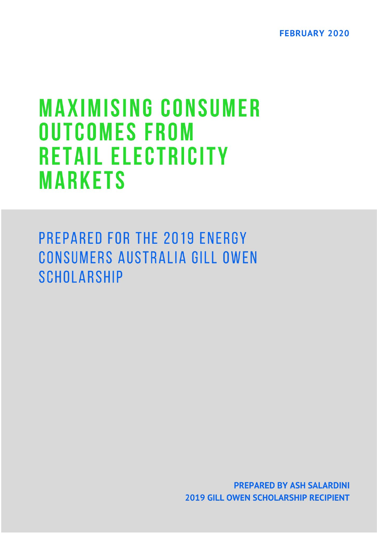**FEBRUARY 2020** 

# **MAXIMISING CONSUMER OUTCOMES FROM RETAIL ELECTRICITY MARKETS**

PREPARED FOR THE 2019 ENERGY CONSUMERS AUSTRALIA GILL OWEN **SCHOLARSHIP** 

> **PREPARED BY ASH SALARDINI 2019 GILL OWEN SCHOLARSHIP RECIPIENT**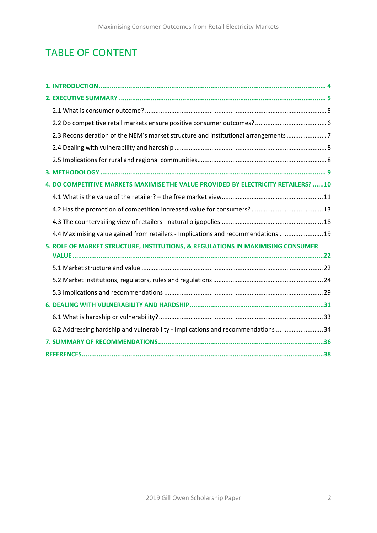# TABLE OF CONTENT

| 2.3 Reconsideration of the NEM's market structure and institutional arrangements7  |
|------------------------------------------------------------------------------------|
|                                                                                    |
|                                                                                    |
|                                                                                    |
| 4. DO COMPETITIVE MARKETS MAXIMISE THE VALUE PROVIDED BY ELECTRICITY RETAILERS? 10 |
|                                                                                    |
|                                                                                    |
|                                                                                    |
| 4.4 Maximising value gained from retailers - Implications and recommendations  19  |
| 5. ROLE OF MARKET STRUCTURE, INSTITUTIONS, & REGULATIONS IN MAXIMISING CONSUMER    |
|                                                                                    |
|                                                                                    |
|                                                                                    |
|                                                                                    |
|                                                                                    |
| 6.2 Addressing hardship and vulnerability - Implications and recommendations 34    |
|                                                                                    |
|                                                                                    |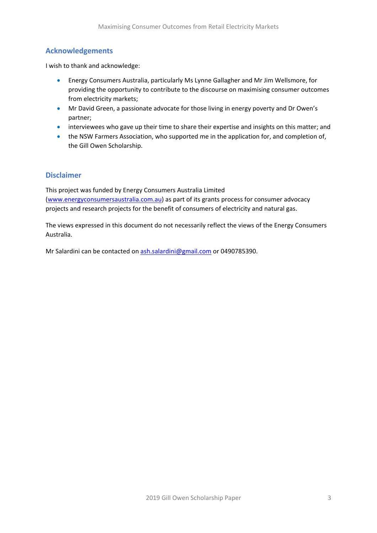# **Acknowledgements**

I wish to thank and acknowledge:

- Energy Consumers Australia, particularly Ms Lynne Gallagher and Mr Jim Wellsmore, for providing the opportunity to contribute to the discourse on maximising consumer outcomes from electricity markets;
- Mr David Green, a passionate advocate for those living in energy poverty and Dr Owen's partner;
- interviewees who gave up their time to share their expertise and insights on this matter; and
- the NSW Farmers Association, who supported me in the application for, and completion of, the Gill Owen Scholarship.

#### **Disclaimer**

This project was funded by Energy Consumers Australia Limited [\(www.energyconsumersaustralia.com.au\)](http://www.energyconsumersaustralia.com.au/) as part of its grants process for consumer advocacy projects and research projects for the benefit of consumers of electricity and natural gas.

The views expressed in this document do not necessarily reflect the views of the Energy Consumers Australia.

Mr Salardini can be contacted on [ash.salardini@gmail.com](mailto:ash.salardini@gmail.com) or 0490785390.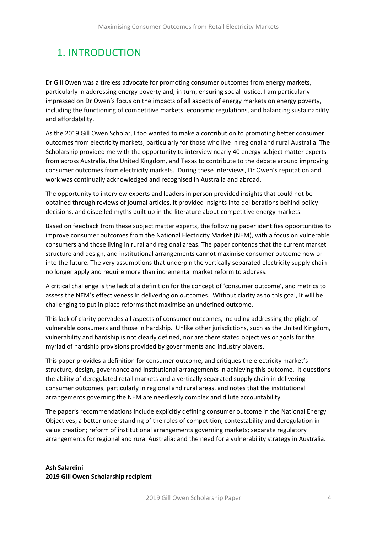# <span id="page-3-0"></span>1. INTRODUCTION

Dr Gill Owen was a tireless advocate for promoting consumer outcomes from energy markets, particularly in addressing energy poverty and, in turn, ensuring social justice. I am particularly impressed on Dr Owen's focus on the impacts of all aspects of energy markets on energy poverty, including the functioning of competitive markets, economic regulations, and balancing sustainability and affordability.

As the 2019 Gill Owen Scholar, I too wanted to make a contribution to promoting better consumer outcomes from electricity markets, particularly for those who live in regional and rural Australia. The Scholarship provided me with the opportunity to interview nearly 40 energy subject matter experts from across Australia, the United Kingdom, and Texas to contribute to the debate around improving consumer outcomes from electricity markets. During these interviews, Dr Owen's reputation and work was continually acknowledged and recognised in Australia and abroad.

The opportunity to interview experts and leaders in person provided insights that could not be obtained through reviews of journal articles. It provided insights into deliberations behind policy decisions, and dispelled myths built up in the literature about competitive energy markets.

Based on feedback from these subject matter experts, the following paper identifies opportunities to improve consumer outcomes from the National Electricity Market (NEM), with a focus on vulnerable consumers and those living in rural and regional areas. The paper contends that the current market structure and design, and institutional arrangements cannot maximise consumer outcome now or into the future. The very assumptions that underpin the vertically separated electricity supply chain no longer apply and require more than incremental market reform to address.

A critical challenge is the lack of a definition for the concept of 'consumer outcome', and metrics to assess the NEM's effectiveness in delivering on outcomes. Without clarity as to this goal, it will be challenging to put in place reforms that maximise an undefined outcome.

This lack of clarity pervades all aspects of consumer outcomes, including addressing the plight of vulnerable consumers and those in hardship. Unlike other jurisdictions, such as the United Kingdom, vulnerability and hardship is not clearly defined, nor are there stated objectives or goals for the myriad of hardship provisions provided by governments and industry players.

This paper provides a definition for consumer outcome, and critiques the electricity market's structure, design, governance and institutional arrangements in achieving this outcome. It questions the ability of deregulated retail markets and a vertically separated supply chain in delivering consumer outcomes, particularly in regional and rural areas, and notes that the institutional arrangements governing the NEM are needlessly complex and dilute accountability.

The paper's recommendations include explicitly defining consumer outcome in the National Energy Objectives; a better understanding of the roles of competition, contestability and deregulation in value creation; reform of institutional arrangements governing markets; separate regulatory arrangements for regional and rural Australia; and the need for a vulnerability strategy in Australia.

**Ash Salardini 2019 Gill Owen Scholarship recipient**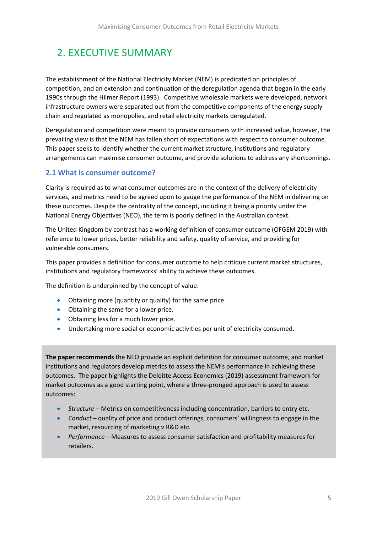# <span id="page-4-0"></span>2. EXECUTIVE SUMMARY

The establishment of the National Electricity Market (NEM) is predicated on principles of competition, and an extension and continuation of the deregulation agenda that began in the early 1990s through the Hilmer Report (1993). Competitive wholesale markets were developed, network infrastructure owners were separated out from the competitive components of the energy supply chain and regulated as monopolies, and retail electricity markets deregulated.

Deregulation and competition were meant to provide consumers with increased value, however, the prevailing view is that the NEM has fallen short of expectations with respect to consumer outcome. This paper seeks to identify whether the current market structure, institutions and regulatory arrangements can maximise consumer outcome, and provide solutions to address any shortcomings.

# <span id="page-4-1"></span>**2.1 What is consumer outcome?**

Clarity is required as to what consumer outcomes are in the context of the delivery of electricity services, and metrics need to be agreed upon to gauge the performance of the NEM in delivering on these outcomes. Despite the centrality of the concept, including it being a priority under the National Energy Objectives (NEO), the term is poorly defined in the Australian context.

The United Kingdom by contrast has a working definition of consumer outcome (OFGEM 2019) with reference to lower prices, better reliability and safety, quality of service, and providing for vulnerable consumers.

This paper provides a definition for consumer outcome to help critique current market structures, institutions and regulatory frameworks' ability to achieve these outcomes.

The definition is underpinned by the concept of value:

- Obtaining more (quantity or quality) for the same price.
- Obtaining the same for a lower price.
- Obtaining less for a much lower price.
- Undertaking more social or economic activities per unit of electricity consumed.

**The paper recommends** the NEO provide an explicit definition for consumer outcome, and market institutions and regulators develop metrics to assess the NEM's performance in achieving these outcomes. The paper highlights the Deloitte Access Economics (2019) assessment framework for market outcomes as a good starting point, where a three-pronged approach is used to assess outcomes:

- *Structure* Metrics on competitiveness including concentration, barriers to entry etc.
- *Conduct* quality of price and product offerings, consumers' willingness to engage in the market, resourcing of marketing v R&D etc.
- *Performance –* Measures to assess consumer satisfaction and profitability measures for retailers.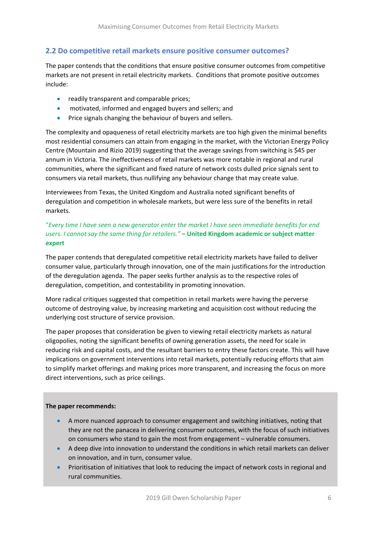# <span id="page-5-0"></span>**2.2 Do competitive retail markets ensure positive consumer outcomes?**

The paper contends that the conditions that ensure positive consumer outcomes from competitive markets are not present in retail electricity markets. Conditions that promote positive outcomes include:

- readily transparent and comparable prices;
- motivated, informed and engaged buyers and sellers; and
- Price signals changing the behaviour of buyers and sellers.

The complexity and opaqueness of retail electricity markets are too high given the minimal benefits most residential consumers can attain from engaging in the market, with the Victorian Energy Policy Centre (Mountain and Rizio 2019) suggesting that the average savings from switching is \$45 per annum in Victoria. The ineffectiveness of retail markets was more notable in regional and rural communities, where the significant and fixed nature of network costs dulled price signals sent to consumers via retail markets, thus nullifying any behaviour change that may create value.

Interviewees from Texas, the United Kingdom and Australia noted significant benefits of deregulation and competition in wholesale markets, but were less sure of the benefits in retail markets.

### "*Every time I have seen a new generator enter the market I have seen immediate benefits for end users. I cannot say the same thing for retailers."* **– United Kingdom academic or subject matter expert**

The paper contends that deregulated competitive retail electricity markets have failed to deliver consumer value, particularly through innovation, one of the main justifications for the introduction of the deregulation agenda. The paper seeks further analysis as to the respective roles of deregulation, competition, and contestability in promoting innovation.

More radical critiques suggested that competition in retail markets were having the perverse outcome of destroying value, by increasing marketing and acquisition cost without reducing the underlying cost structure of service provision.

The paper proposes that consideration be given to viewing retail electricity markets as natural oligopolies, noting the significant benefits of owning generation assets, the need for scale in reducing risk and capital costs, and the resultant barriers to entry these factors create. This will have implications on government interventions into retail markets, potentially reducing efforts that aim to simplify market offerings and making prices more transparent, and increasing the focus on more direct interventions, such as price ceilings.

#### **The paper recommends:**

í

- A more nuanced approach to consumer engagement and switching initiatives, noting that they are not the panacea in delivering consumer outcomes, with the focus of such initiatives on consumers who stand to gain the most from engagement – vulnerable consumers.
- A deep dive into innovation to understand the conditions in which retail markets can deliver on innovation, and in turn, consumer value.
- Prioritisation of initiatives that look to reducing the impact of network costs in regional and rural communities.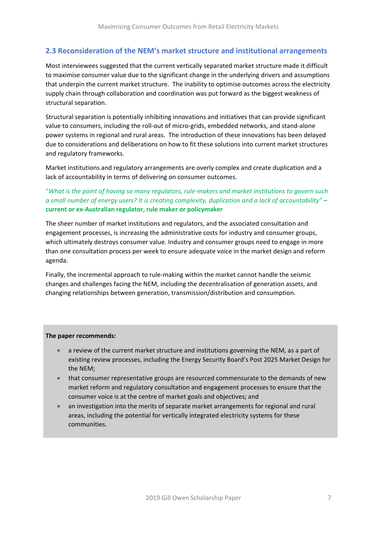# <span id="page-6-0"></span>**2.3 Reconsideration of the NEM's market structure and institutional arrangements**

Most interviewees suggested that the current vertically separated market structure made it difficult to maximise consumer value due to the significant change in the underlying drivers and assumptions that underpin the current market structure. The inability to optimise outcomes across the electricity supply chain through collaboration and coordination was put forward as the biggest weakness of structural separation.

Structural separation is potentially inhibiting innovations and initiatives that can provide significant value to consumers, including the roll-out of micro-grids, embedded networks, and stand-alone power systems in regional and rural areas. The introduction of these innovations has been delayed due to considerations and deliberations on how to fit these solutions into current market structures and regulatory frameworks.

Market institutions and regulatory arrangements are overly complex and create duplication and a lack of accountability in terms of delivering on consumer outcomes.

#### "*What is the point of having so many regulators, rule-makers and market institutions to govern such a small number of energy users? It is creating complexity, duplication and a lack of accountability"* **– current or ex-Australian regulator, rule maker or policymaker**

The sheer number of market institutions and regulators, and the associated consultation and engagement processes, is increasing the administrative costs for industry and consumer groups, which ultimately destroys consumer value. Industry and consumer groups need to engage in more than one consultation process per week to ensure adequate voice in the market design and reform agenda.

Finally, the incremental approach to rule-making within the market cannot handle the seismic changes and challenges facing the NEM, including the decentralisation of generation assets, and changing relationships between generation, transmission/distribution and consumption.

#### **The paper recommends:**

- a review of the current market structure and institutions governing the NEM, as a part of existing review processes, including the Energy Security Board's Post 2025 Market Design for the NEM;
- that consumer representative groups are resourced commensurate to the demands of new market reform and regulatory consultation and engagement processes to ensure that the consumer voice is at the centre of market goals and objectives; and
- an investigation into the merits of separate market arrangements for regional and rural areas, including the potential for vertically integrated electricity systems for these communities.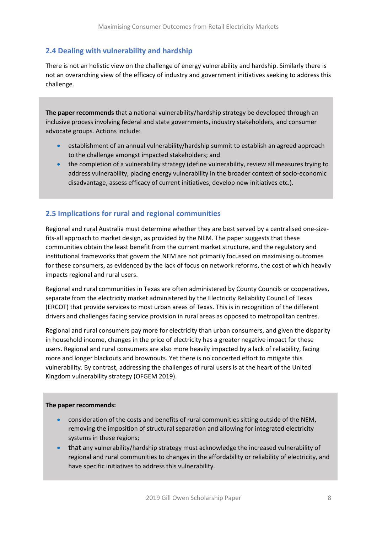# <span id="page-7-0"></span>**2.4 Dealing with vulnerability and hardship**

There is not an holistic view on the challenge of energy vulnerability and hardship. Similarly there is not an overarching view of the efficacy of industry and government initiatives seeking to address this challenge.

**The paper recommends** that a national vulnerability/hardship strategy be developed through an inclusive process involving federal and state governments, industry stakeholders, and consumer advocate groups. Actions include:

- establishment of an annual vulnerability/hardship summit to establish an agreed approach to the challenge amongst impacted stakeholders; and
- the completion of a vulnerability strategy (define vulnerability, review all measures trying to address vulnerability, placing energy vulnerability in the broader context of socio-economic disadvantage, assess efficacy of current initiatives, develop new initiatives etc.).

# <span id="page-7-1"></span>**2.5 Implications for rural and regional communities**

Regional and rural Australia must determine whether they are best served by a centralised one-sizefits-all approach to market design, as provided by the NEM. The paper suggests that these communities obtain the least benefit from the current market structure, and the regulatory and institutional frameworks that govern the NEM are not primarily focussed on maximising outcomes for these consumers, as evidenced by the lack of focus on network reforms, the cost of which heavily impacts regional and rural users.

Regional and rural communities in Texas are often administered by County Councils or cooperatives, separate from the electricity market administered by the Electricity Reliability Council of Texas (ERCOT) that provide services to most urban areas of Texas. This is in recognition of the different drivers and challenges facing service provision in rural areas as opposed to metropolitan centres.

Regional and rural consumers pay more for electricity than urban consumers, and given the disparity in household income, changes in the price of electricity has a greater negative impact for these users. Regional and rural consumers are also more heavily impacted by a lack of reliability, facing more and longer blackouts and brownouts. Yet there is no concerted effort to mitigate this vulnerability. By contrast, addressing the challenges of rural users is at the heart of the United Kingdom vulnerability strategy (OFGEM 2019).

#### **The paper recommends:**

- consideration of the costs and benefits of rural communities sitting outside of the NEM, removing the imposition of structural separation and allowing for integrated electricity systems in these regions;
- that any vulnerability/hardship strategy must acknowledge the increased vulnerability of regional and rural communities to changes in the affordability or reliability of electricity, and have specific initiatives to address this vulnerability.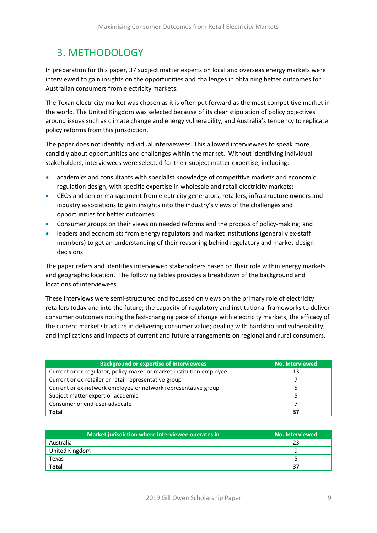# <span id="page-8-0"></span>3. METHODOLOGY

In preparation for this paper, 37 subject matter experts on local and overseas energy markets were interviewed to gain insights on the opportunities and challenges in obtaining better outcomes for Australian consumers from electricity markets.

The Texan electricity market was chosen as it is often put forward as the most competitive market in the world. The United Kingdom was selected because of its clear stipulation of policy objectives around issues such as climate change and energy vulnerability, and Australia's tendency to replicate policy reforms from this jurisdiction.

The paper does not identify individual interviewees. This allowed interviewees to speak more candidly about opportunities and challenges within the market. Without identifying individual stakeholders, interviewees were selected for their subject matter expertise, including:

- academics and consultants with specialist knowledge of competitive markets and economic regulation design, with specific expertise in wholesale and retail electricity markets;
- CEOs and senior management from electricity generators, retailers, infrastructure owners and industry associations to gain insights into the industry's views of the challenges and opportunities for better outcomes;
- Consumer groups on their views on needed reforms and the process of policy-making; and
- leaders and economists from energy regulators and market institutions (generally ex-staff members) to get an understanding of their reasoning behind regulatory and market-design decisions.

The paper refers and identifies interviewed stakeholders based on their role within energy markets and geographic location. The following tables provides a breakdown of the background and locations of interviewees.

These interviews were semi-structured and focussed on views on the primary role of electricity retailers today and into the future; the capacity of regulatory and institutional frameworks to deliver consumer outcomes noting the fast-changing pace of change with electricity markets, the efficacy of the current market structure in delivering consumer value; dealing with hardship and vulnerability; and implications and impacts of current and future arrangements on regional and rural consumers.

| <b>Background or expertise of Interviewees</b>                       | <b>No. Interviewed</b> |
|----------------------------------------------------------------------|------------------------|
| Current or ex-regulator, policy-maker or market institution employee | 13                     |
| Current or ex-retailer or retail representative group                |                        |
| Current or ex-network employee or network representative group       |                        |
| Subject matter expert or academic                                    |                        |
| Consumer or end-user advocate                                        |                        |
| <b>Total</b>                                                         |                        |

| Market jurisdiction where interviewee operates in | No. Interviewed |
|---------------------------------------------------|-----------------|
| Australia                                         | つっ              |
| United Kingdom                                    |                 |
| Texas                                             |                 |
| <b>Total</b>                                      | 27              |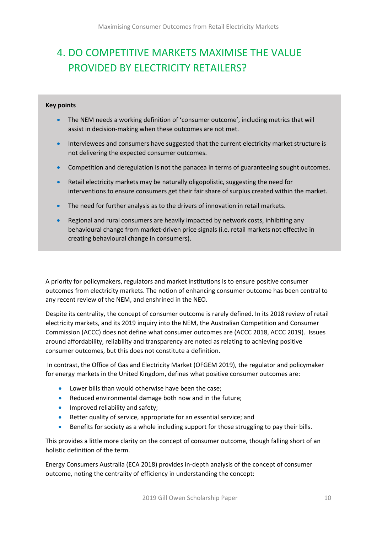# <span id="page-9-0"></span>4. DO COMPETITIVE MARKETS MAXIMISE THE VALUE PROVIDED BY ELECTRICITY RETAILERS?

#### **Key points**

- The NEM needs a working definition of 'consumer outcome', including metrics that will assist in decision-making when these outcomes are not met.
- Interviewees and consumers have suggested that the current electricity market structure is not delivering the expected consumer outcomes.
- Competition and deregulation is not the panacea in terms of guaranteeing sought outcomes.
- Retail electricity markets may be naturally oligopolistic, suggesting the need for interventions to ensure consumers get their fair share of surplus created within the market.
- The need for further analysis as to the drivers of innovation in retail markets.
- Regional and rural consumers are heavily impacted by network costs, inhibiting any behavioural change from market-driven price signals (i.e. retail markets not effective in creating behavioural change in consumers).

A priority for policymakers, regulators and market institutions is to ensure positive consumer outcomes from electricity markets. The notion of enhancing consumer outcome has been central to any recent review of the NEM, and enshrined in the NEO.

Despite its centrality, the concept of consumer outcome is rarely defined. In its 2018 review of retail electricity markets, and its 2019 inquiry into the NEM, the Australian Competition and Consumer Commission (ACCC) does not define what consumer outcomes are (ACCC 2018, ACCC 2019). Issues around affordability, reliability and transparency are noted as relating to achieving positive consumer outcomes, but this does not constitute a definition.

In contrast, the Office of Gas and Electricity Market (OFGEM 2019), the regulator and policymaker for energy markets in the United Kingdom, defines what positive consumer outcomes are:

- Lower bills than would otherwise have been the case;
- Reduced environmental damage both now and in the future;
- Improved reliability and safety;
- Better quality of service, appropriate for an essential service; and
- Benefits for society as a whole including support for those struggling to pay their bills.

This provides a little more clarity on the concept of consumer outcome, though falling short of an holistic definition of the term.

Energy Consumers Australia (ECA 2018) provides in-depth analysis of the concept of consumer outcome, noting the centrality of efficiency in understanding the concept: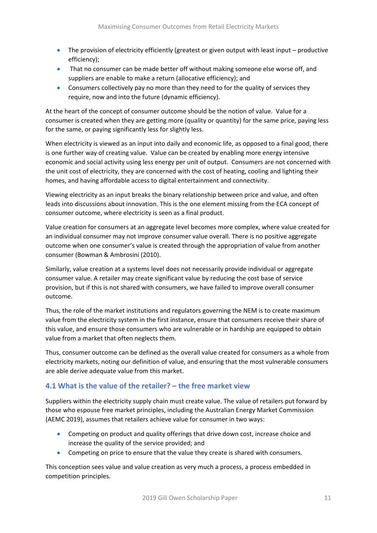- The provision of electricity efficiently (greatest or given output with least input productive efficiency);
- That no consumer can be made better off without making someone else worse off, and suppliers are enable to make a return (allocative efficiency); and
- Consumers collectively pay no more than they need to for the quality of services they require, now and into the future (dynamic efficiency).

At the heart of the concept of consumer outcome should be the notion of value. Value for a consumer is created when they are getting more (quality or quantity) for the same price, paying less for the same, or paying significantly less for slightly less.

When electricity is viewed as an input into daily and economic life, as opposed to a final good, there is one further way of creating value. Value can be created by enabling more energy intensive economic and social activity using less energy per unit of output. Consumers are not concerned with the unit cost of electricity, they are concerned with the cost of heating, cooling and lighting their homes, and having affordable access to digital entertainment and connectivity.

Viewing electricity as an input breaks the binary relationship between price and value, and often leads into discussions about innovation. This is the one element missing from the ECA concept of consumer outcome, where electricity is seen as a final product.

Value creation for consumers at an aggregate level becomes more complex, where value created for an individual consumer may not improve consumer value overall. There is no positive aggregate outcome when one consumer's value is created through the appropriation of value from another consumer (Bowman & Ambrosini (2010).

Similarly, value creation at a systems level does not necessarily provide individual or aggregate consumer value. A retailer may create significant value by reducing the cost base of service provision, but if this is not shared with consumers, we have failed to improve overall consumer outcome.

Thus, the role of the market institutions and regulators governing the NEM is to create maximum value from the electricity system in the first instance, ensure that consumers receive their share of this value, and ensure those consumers who are vulnerable or in hardship are equipped to obtain value from a market that often neglects them.

Thus, consumer outcome can be defined as the overall value created for consumers as a whole from electricity markets, noting our definition of value, and ensuring that the most vulnerable consumers are able derive adequate value from this market.

# <span id="page-10-0"></span>**4.1 What is the value of the retailer? – the free market view**

Suppliers within the electricity supply chain must create value. The value of retailers put forward by those who espouse free market principles, including the Australian Energy Market Commission (AEMC 2019), assumes that retailers achieve value for consumer in two ways:

- Competing on product and quality offerings that drive down cost, increase choice and increase the quality of the service provided; and
- Competing on price to ensure that the value they create is shared with consumers.

This conception sees value and value creation as very much a process, a process embedded in competition principles.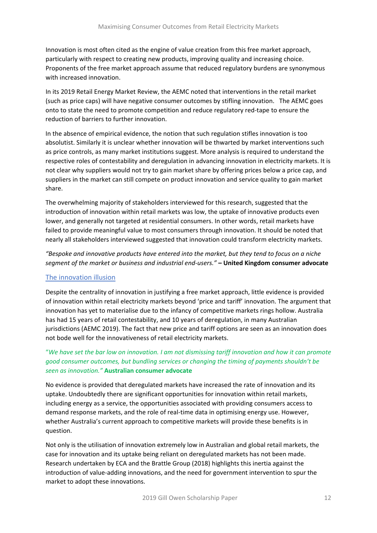Innovation is most often cited as the engine of value creation from this free market approach, particularly with respect to creating new products, improving quality and increasing choice. Proponents of the free market approach assume that reduced regulatory burdens are synonymous with increased innovation.

In its 2019 Retail Energy Market Review, the AEMC noted that interventions in the retail market (such as price caps) will have negative consumer outcomes by stifling innovation. The AEMC goes onto to state the need to promote competition and reduce regulatory red-tape to ensure the reduction of barriers to further innovation.

In the absence of empirical evidence, the notion that such regulation stifles innovation is too absolutist. Similarly it is unclear whether innovation will be thwarted by market interventions such as price controls, as many market institutions suggest. More analysis is required to understand the respective roles of contestability and deregulation in advancing innovation in electricity markets. It is not clear why suppliers would not try to gain market share by offering prices below a price cap, and suppliers in the market can still compete on product innovation and service quality to gain market share.

The overwhelming majority of stakeholders interviewed for this research, suggested that the introduction of innovation within retail markets was low, the uptake of innovative products even lower, and generally not targeted at residential consumers. In other words, retail markets have failed to provide meaningful value to most consumers through innovation. It should be noted that nearly all stakeholders interviewed suggested that innovation could transform electricity markets.

*"Bespoke and innovative products have entered into the market, but they tend to focus on a niche segment of the market or business and industrial end-users."* **– United Kingdom consumer advocate**

#### The innovation illusion

Despite the centrality of innovation in justifying a free market approach, little evidence is provided of innovation within retail electricity markets beyond 'price and tariff' innovation. The argument that innovation has yet to materialise due to the infancy of competitive markets rings hollow. Australia has had 15 years of retail contestability, and 10 years of deregulation, in many Australian jurisdictions (AEMC 2019). The fact that new price and tariff options are seen as an innovation does not bode well for the innovativeness of retail electricity markets.

#### "*We have set the bar low on innovation. I am not dismissing tariff innovation and how it can promote good consumer outcomes, but bundling services or changing the timing of payments shouldn't be seen as innovation."* **Australian consumer advocate**

No evidence is provided that deregulated markets have increased the rate of innovation and its uptake. Undoubtedly there are significant opportunities for innovation within retail markets, including energy as a service, the opportunities associated with providing consumers access to demand response markets, and the role of real-time data in optimising energy use. However, whether Australia's current approach to competitive markets will provide these benefits is in question.

Not only is the utilisation of innovation extremely low in Australian and global retail markets, the case for innovation and its uptake being reliant on deregulated markets has not been made. Research undertaken by ECA and the Brattle Group (2018) highlights this inertia against the introduction of value-adding innovations, and the need for government intervention to spur the market to adopt these innovations.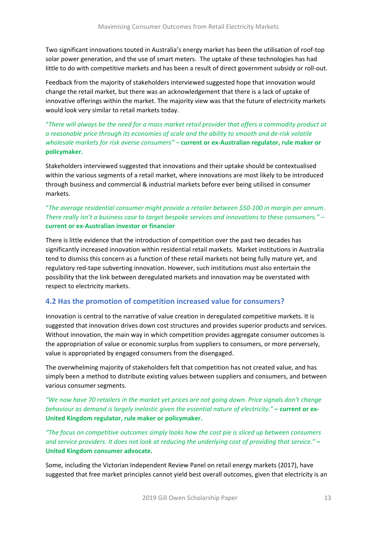Two significant innovations touted in Australia's energy market has been the utilisation of roof-top solar power generation, and the use of smart meters. The uptake of these technologies has had little to do with competitive markets and has been a result of direct government subsidy or roll-out.

Feedback from the majority of stakeholders interviewed suggested hope that innovation would change the retail market, but there was an acknowledgement that there is a lack of uptake of innovative offerings within the market. The majority view was that the future of electricity markets would look very similar to retail markets today.

"*There will always be the need for a mass market retail provider that offers a commodity product at a reasonable price through its economies of scale and the ability to smooth and de-risk volatile wholesale markets for risk averse consumers" –* **current or ex-Australian regulator, rule maker or policymaker.**

Stakeholders interviewed suggested that innovations and their uptake should be contextualised within the various segments of a retail market, where innovations are most likely to be introduced through business and commercial & industrial markets before ever being utilised in consumer markets.

#### "*The average residential consumer might provide a retailer between \$50-100 in margin per annum. There really isn't a business case to target bespoke services and innovations to these consumers." –* **current or ex-Australian investor or financier**

There is little evidence that the introduction of competition over the past two decades has significantly increased innovation within residential retail markets. Market institutions in Australia tend to dismiss this concern as a function of these retail markets not being fully mature yet, and regulatory red-tape subverting innovation. However, such institutions must also entertain the possibility that the link between deregulated markets and innovation may be overstated with respect to electricity markets.

# <span id="page-12-0"></span>**4.2 Has the promotion of competition increased value for consumers?**

Innovation is central to the narrative of value creation in deregulated competitive markets. It is suggested that innovation drives down cost structures and provides superior products and services. Without innovation, the main way in which competition provides aggregate consumer outcomes is the appropriation of value or economic surplus from suppliers to consumers, or more perversely, value is appropriated by engaged consumers from the disengaged.

The overwhelming majority of stakeholders felt that competition has not created value, and has simply been a method to distribute existing values between suppliers and consumers, and between various consumer segments.

*"We now have 70 retailers in the market yet prices are not going down. Price signals don't change behaviour as demand is largely inelastic given the essential nature of electricity."* **– current or ex-United Kingdom regulator, rule maker or policymaker.**

*"The focus on competitive outcomes simply looks how the cost pie is sliced up between consumers and service providers. It does not look at reducing the underlying cost of providing that service."* **– United Kingdom consumer advocate.**

Some, including the Victorian Independent Review Panel on retail energy markets (2017), have suggested that free market principles cannot yield best overall outcomes, given that electricity is an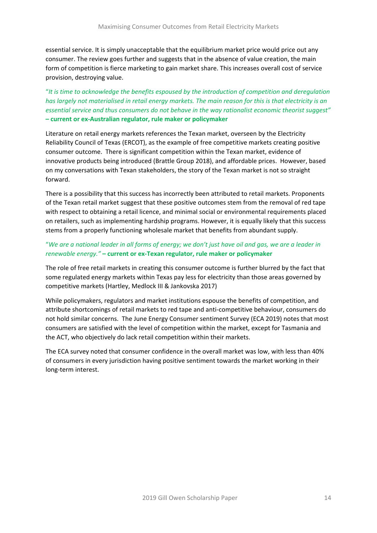essential service. It is simply unacceptable that the equilibrium market price would price out any consumer. The review goes further and suggests that in the absence of value creation, the main form of competition is fierce marketing to gain market share. This increases overall cost of service provision, destroying value.

"*It is time to acknowledge the benefits espoused by the introduction of competition and deregulation has largely not materialised in retail energy markets. The main reason for this is that electricity is an essential service and thus consumers do not behave in the way rationalist economic theorist suggest"* **– current or ex-Australian regulator, rule maker or policymaker**

Literature on retail energy markets references the Texan market, overseen by the Electricity Reliability Council of Texas (ERCOT), as the example of free competitive markets creating positive consumer outcome. There is significant competition within the Texan market, evidence of innovative products being introduced (Brattle Group 2018), and affordable prices. However, based on my conversations with Texan stakeholders, the story of the Texan market is not so straight forward.

There is a possibility that this success has incorrectly been attributed to retail markets. Proponents of the Texan retail market suggest that these positive outcomes stem from the removal of red tape with respect to obtaining a retail licence, and minimal social or environmental requirements placed on retailers, such as implementing hardship programs. However, it is equally likely that this success stems from a properly functioning wholesale market that benefits from abundant supply.

#### "*We are a national leader in all forms of energy; we don't just have oil and gas, we are a leader in renewable energy."* **– current or ex-Texan regulator, rule maker or policymaker**

The role of free retail markets in creating this consumer outcome is further blurred by the fact that some regulated energy markets within Texas pay less for electricity than those areas governed by competitive markets (Hartley, Medlock III & Jankovska 2017)

While policymakers, regulators and market institutions espouse the benefits of competition, and attribute shortcomings of retail markets to red tape and anti-competitive behaviour, consumers do not hold similar concerns. The June Energy Consumer sentiment Survey (ECA 2019) notes that most consumers are satisfied with the level of competition within the market, except for Tasmania and the ACT, who objectively do lack retail competition within their markets.

The ECA survey noted that consumer confidence in the overall market was low, with less than 40% of consumers in every jurisdiction having positive sentiment towards the market working in their long-term interest.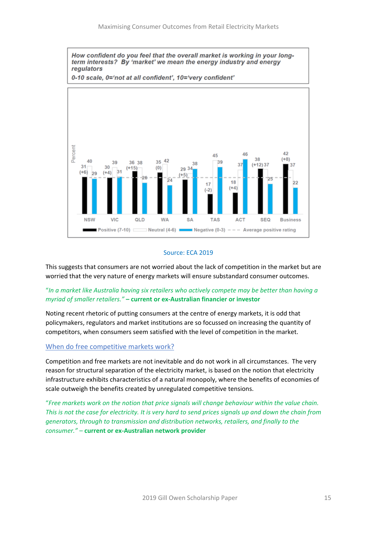

#### Source: ECA 2019

This suggests that consumers are not worried about the lack of competition in the market but are worried that the very nature of energy markets will ensure substandard consumer outcomes.

#### "*In a market like Australia having six retailers who actively compete may be better than having a myriad of smaller retailers."* **– current or ex-Australian financier or investor**

Noting recent rhetoric of putting consumers at the centre of energy markets, it is odd that policymakers, regulators and market institutions are so focussed on increasing the quantity of competitors, when consumers seem satisfied with the level of competition in the market.

#### When do free competitive markets work?

Competition and free markets are not inevitable and do not work in all circumstances. The very reason for structural separation of the electricity market, is based on the notion that electricity infrastructure exhibits characteristics of a natural monopoly, where the benefits of economies of scale outweigh the benefits created by unregulated competitive tensions.

"*Free markets work on the notion that price signals will change behaviour within the value chain. This is not the case for electricity. It is very hard to send prices signals up and down the chain from generators, through to transmission and distribution networks, retailers, and finally to the consumer."* – **current or ex-Australian network provider**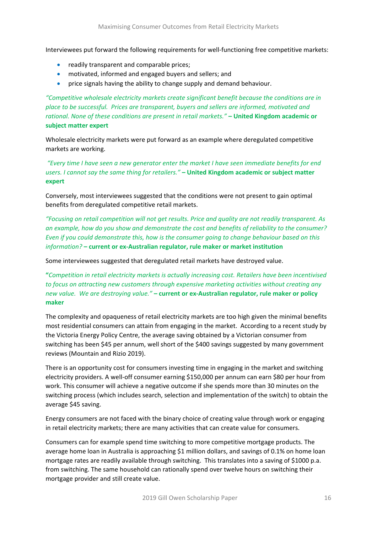Interviewees put forward the following requirements for well-functioning free competitive markets:

- readily transparent and comparable prices;
- motivated, informed and engaged buyers and sellers; and
- price signals having the ability to change supply and demand behaviour.

*"Competitive wholesale electricity markets create significant benefit because the conditions are in place to be successful. Prices are transparent, buyers and sellers are informed, motivated and rational. None of these conditions are present in retail markets."* **– United Kingdom academic or subject matter expert**

Wholesale electricity markets were put forward as an example where deregulated competitive markets are working.

*"Every time I have seen a new generator enter the market I have seen immediate benefits for end users. I cannot say the same thing for retailers."* **– United Kingdom academic or subject matter expert**

Conversely, most interviewees suggested that the conditions were not present to gain optimal benefits from deregulated competitive retail markets.

*"Focusing on retail competition will not get results. Price and quality are not readily transparent. As an example, how do you show and demonstrate the cost and benefits of reliability to the consumer? Even if you could demonstrate this, how is the consumer going to change behaviour based on this information?* **– current or ex-Australian regulator, rule maker or market institution**

Some interviewees suggested that deregulated retail markets have destroyed value.

**"***Competition in retail electricity markets is actually increasing cost. Retailers have been incentivised to focus on attracting new customers through expensive marketing activities without creating any new value. We are destroying value."* **– current or ex-Australian regulator, rule maker or policy maker**

The complexity and opaqueness of retail electricity markets are too high given the minimal benefits most residential consumers can attain from engaging in the market. According to a recent study by the Victoria Energy Policy Centre, the average saving obtained by a Victorian consumer from switching has been \$45 per annum, well short of the \$400 savings suggested by many government reviews (Mountain and Rizio 2019).

There is an opportunity cost for consumers investing time in engaging in the market and switching electricity providers. A well-off consumer earning \$150,000 per annum can earn \$80 per hour from work. This consumer will achieve a negative outcome if she spends more than 30 minutes on the switching process (which includes search, selection and implementation of the switch) to obtain the average \$45 saving.

Energy consumers are not faced with the binary choice of creating value through work or engaging in retail electricity markets; there are many activities that can create value for consumers.

Consumers can for example spend time switching to more competitive mortgage products. The average home loan in Australia is approaching \$1 million dollars, and savings of 0.1% on home loan mortgage rates are readily available through switching. This translates into a saving of \$1000 p.a. from switching. The same household can rationally spend over twelve hours on switching their mortgage provider and still create value.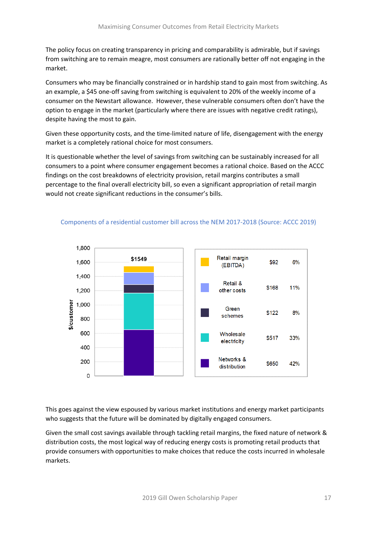The policy focus on creating transparency in pricing and comparability is admirable, but if savings from switching are to remain meagre, most consumers are rationally better off not engaging in the market.

Consumers who may be financially constrained or in hardship stand to gain most from switching. As an example, a \$45 one-off saving from switching is equivalent to 20% of the weekly income of a consumer on the Newstart allowance. However, these vulnerable consumers often don't have the option to engage in the market (particularly where there are issues with negative credit ratings), despite having the most to gain.

Given these opportunity costs, and the time-limited nature of life, disengagement with the energy market is a completely rational choice for most consumers.

It is questionable whether the level of savings from switching can be sustainably increased for all consumers to a point where consumer engagement becomes a rational choice. Based on the ACCC findings on the cost breakdowns of electricity provision, retail margins contributes a small percentage to the final overall electricity bill, so even a significant appropriation of retail margin would not create significant reductions in the consumer's bills.



#### Components of a residential customer bill across the NEM 2017-2018 (Source: ACCC 2019)

This goes against the view espoused by various market institutions and energy market participants who suggests that the future will be dominated by digitally engaged consumers.

Given the small cost savings available through tackling retail margins, the fixed nature of network & distribution costs, the most logical way of reducing energy costs is promoting retail products that provide consumers with opportunities to make choices that reduce the costs incurred in wholesale markets.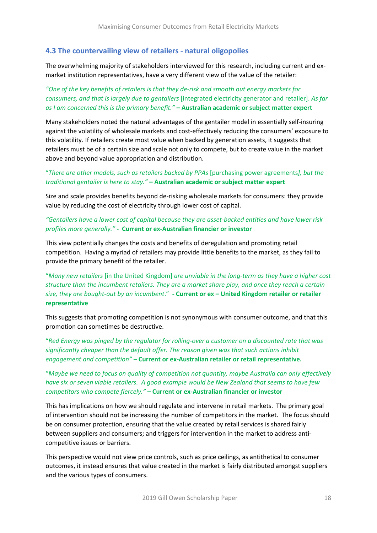#### <span id="page-17-0"></span>**4.3 The countervailing view of retailers - natural oligopolies**

The overwhelming majority of stakeholders interviewed for this research, including current and exmarket institution representatives, have a very different view of the value of the retailer:

*"One of the key benefits of retailers is that they de-risk and smooth out energy markets for consumers, and that is largely due to gentailers* [integrated electricity generator and retailer]. *As far as I am concerned this is the primary benefit."* **– Australian academic or subject matter expert**

Many stakeholders noted the natural advantages of the gentailer model in essentially self-insuring against the volatility of wholesale markets and cost-effectively reducing the consumers' exposure to this volatility. If retailers create most value when backed by generation assets, it suggests that retailers must be of a certain size and scale not only to compete, but to create value in the market above and beyond value appropriation and distribution.

#### "*There are other models, such as retailers backed by PPAs* [purchasing power agreements*], but the traditional gentailer is here to stay."* **– Australian academic or subject matter expert**

Size and scale provides benefits beyond de-risking wholesale markets for consumers: they provide value by reducing the cost of electricity through lower cost of capital.

*"Gentailers have a lower cost of capital because they are asset-backed entities and have lower risk profiles more generally."* **- Current or ex-Australian financier or investor**

This view potentially changes the costs and benefits of deregulation and promoting retail competition. Having a myriad of retailers may provide little benefits to the market, as they fail to provide the primary benefit of the retailer.

"*Many new retailers* [in the United Kingdom] *are unviable in the long-term as they have a higher cost structure than the incumbent retailers. They are a market share play, and once they reach a certain size, they are bought-out by an incumbent*."**- Current or ex – United Kingdom retailer or retailer representative**

This suggests that promoting competition is not synonymous with consumer outcome, and that this promotion can sometimes be destructive.

"*Red Energy was pinged by the regulator for rolling-over a customer on a discounted rate that was significantly cheaper than the default offer. The reason given was that such actions inhibit engagement and competition" –* **Current or ex-Australian retailer or retail representative.**

"*Maybe we need to focus on quality of competition not quantity, maybe Australia can only effectively have six or seven viable retailers. A good example would be New Zealand that seems to have few competitors who compete fiercely."* **– Current or ex-Australian financier or investor**

This has implications on how we should regulate and intervene in retail markets. The primary goal of intervention should not be increasing the number of competitors in the market. The focus should be on consumer protection, ensuring that the value created by retail services is shared fairly between suppliers and consumers; and triggers for intervention in the market to address anticompetitive issues or barriers.

This perspective would not view price controls, such as price ceilings, as antithetical to consumer outcomes, it instead ensures that value created in the market is fairly distributed amongst suppliers and the various types of consumers.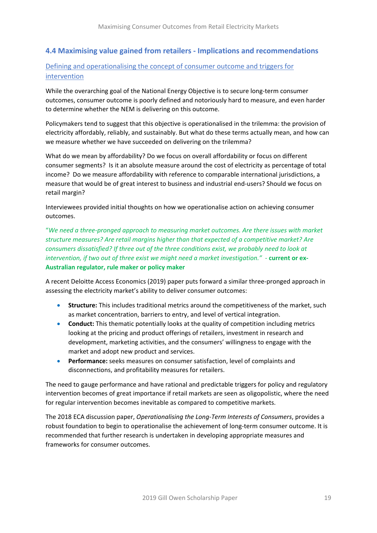# <span id="page-18-0"></span>**4.4 Maximising value gained from retailers - Implications and recommendations**

Defining and operationalising the concept of consumer outcome and triggers for intervention

While the overarching goal of the National Energy Objective is to secure long-term consumer outcomes, consumer outcome is poorly defined and notoriously hard to measure, and even harder to determine whether the NEM is delivering on this outcome.

Policymakers tend to suggest that this objective is operationalised in the trilemma: the provision of electricity affordably, reliably, and sustainably. But what do these terms actually mean, and how can we measure whether we have succeeded on delivering on the trilemma?

What do we mean by affordability? Do we focus on overall affordability or focus on different consumer segments? Is it an absolute measure around the cost of electricity as percentage of total income? Do we measure affordability with reference to comparable international jurisdictions, a measure that would be of great interest to business and industrial end-users? Should we focus on retail margin?

Interviewees provided initial thoughts on how we operationalise action on achieving consumer outcomes.

"*We need a three-pronged approach to measuring market outcomes. Are there issues with market structure measures? Are retail margins higher than that expected of a competitive market? Are consumers dissatisfied? If three out of the three conditions exist, we probably need to look at intervention, if two out of three exist we might need a market investigation."* - **current or ex-Australian regulator, rule maker or policy maker**

A recent Deloitte Access Economics (2019) paper puts forward a similar three-pronged approach in assessing the electricity market's ability to deliver consumer outcomes:

- **Structure:** This includes traditional metrics around the competitiveness of the market, such as market concentration, barriers to entry, and level of vertical integration.
- **Conduct:** This thematic potentially looks at the quality of competition including metrics looking at the pricing and product offerings of retailers, investment in research and development, marketing activities, and the consumers' willingness to engage with the market and adopt new product and services.
- **Performance:** seeks measures on consumer satisfaction, level of complaints and disconnections, and profitability measures for retailers.

The need to gauge performance and have rational and predictable triggers for policy and regulatory intervention becomes of great importance if retail markets are seen as oligopolistic, where the need for regular intervention becomes inevitable as compared to competitive markets.

The 2018 ECA discussion paper, *Operationalising the Long-Term Interests of Consumers*, provides a robust foundation to begin to operationalise the achievement of long-term consumer outcome. It is recommended that further research is undertaken in developing appropriate measures and frameworks for consumer outcomes.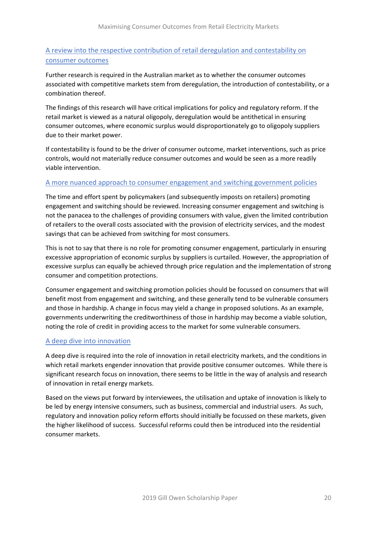# A review into the respective contribution of retail deregulation and contestability on consumer outcomes

Further research is required in the Australian market as to whether the consumer outcomes associated with competitive markets stem from deregulation, the introduction of contestability, or a combination thereof.

The findings of this research will have critical implications for policy and regulatory reform. If the retail market is viewed as a natural oligopoly, deregulation would be antithetical in ensuring consumer outcomes, where economic surplus would disproportionately go to oligopoly suppliers due to their market power.

If contestability is found to be the driver of consumer outcome, market interventions, such as price controls, would not materially reduce consumer outcomes and would be seen as a more readily viable intervention.

#### A more nuanced approach to consumer engagement and switching government policies

The time and effort spent by policymakers (and subsequently imposts on retailers) promoting engagement and switching should be reviewed. Increasing consumer engagement and switching is not the panacea to the challenges of providing consumers with value, given the limited contribution of retailers to the overall costs associated with the provision of electricity services, and the modest savings that can be achieved from switching for most consumers.

This is not to say that there is no role for promoting consumer engagement, particularly in ensuring excessive appropriation of economic surplus by suppliers is curtailed. However, the appropriation of excessive surplus can equally be achieved through price regulation and the implementation of strong consumer and competition protections.

Consumer engagement and switching promotion policies should be focussed on consumers that will benefit most from engagement and switching, and these generally tend to be vulnerable consumers and those in hardship. A change in focus may yield a change in proposed solutions. As an example, governments underwriting the creditworthiness of those in hardship may become a viable solution, noting the role of credit in providing access to the market for some vulnerable consumers.

#### A deep dive into innovation

A deep dive is required into the role of innovation in retail electricity markets, and the conditions in which retail markets engender innovation that provide positive consumer outcomes. While there is significant research focus on innovation, there seems to be little in the way of analysis and research of innovation in retail energy markets.

Based on the views put forward by interviewees, the utilisation and uptake of innovation is likely to be led by energy intensive consumers, such as business, commercial and industrial users. As such, regulatory and innovation policy reform efforts should initially be focussed on these markets, given the higher likelihood of success. Successful reforms could then be introduced into the residential consumer markets.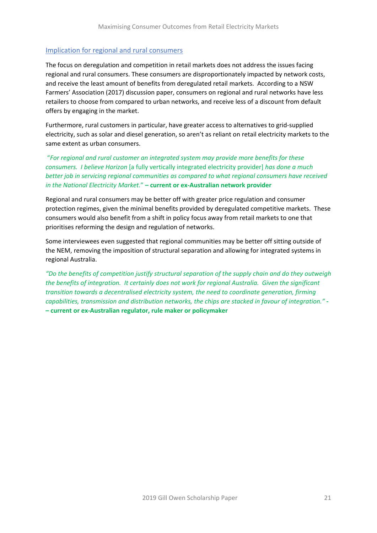#### Implication for regional and rural consumers

The focus on deregulation and competition in retail markets does not address the issues facing regional and rural consumers. These consumers are disproportionately impacted by network costs, and receive the least amount of benefits from deregulated retail markets. According to a NSW Farmers' Association (2017) discussion paper, consumers on regional and rural networks have less retailers to choose from compared to urban networks, and receive less of a discount from default offers by engaging in the market.

Furthermore, rural customers in particular, have greater access to alternatives to grid-supplied electricity, such as solar and diesel generation, so aren't as reliant on retail electricity markets to the same extent as urban consumers.

"*For regional and rural customer an integrated system may provide more benefits for these consumers. I believe Horizon* [a fully vertically integrated electricity provider] *has done a much better job in servicing regional communities as compared to what regional consumers have received in the National Electricity Market.*" **– current or ex-Australian network provider**

Regional and rural consumers may be better off with greater price regulation and consumer protection regimes, given the minimal benefits provided by deregulated competitive markets. These consumers would also benefit from a shift in policy focus away from retail markets to one that prioritises reforming the design and regulation of networks.

Some interviewees even suggested that regional communities may be better off sitting outside of the NEM, removing the imposition of structural separation and allowing for integrated systems in regional Australia.

*"Do the benefits of competition justify structural separation of the supply chain and do they outweigh the benefits of integration. It certainly does not work for regional Australia. Given the significant transition towards a decentralised electricity system, the need to coordinate generation, firming capabilities, transmission and distribution networks, the chips are stacked in favour of integration."* **- – current or ex-Australian regulator, rule maker or policymaker**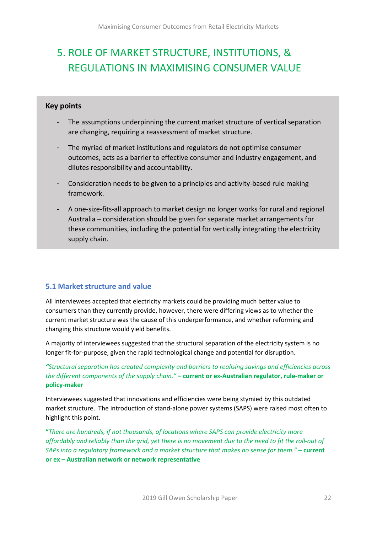# <span id="page-21-0"></span>5. ROLE OF MARKET STRUCTURE, INSTITUTIONS, & REGULATIONS IN MAXIMISING CONSUMER VALUE

#### **Key points**

- The assumptions underpinning the current market structure of vertical separation are changing, requiring a reassessment of market structure.
- The myriad of market institutions and regulators do not optimise consumer outcomes, acts as a barrier to effective consumer and industry engagement, and dilutes responsibility and accountability.
- Consideration needs to be given to a principles and activity-based rule making framework.
- A one-size-fits-all approach to market design no longer works for rural and regional Australia – consideration should be given for separate market arrangements for these communities, including the potential for vertically integrating the electricity supply chain.

# <span id="page-21-1"></span>**5.1 Market structure and value**

All interviewees accepted that electricity markets could be providing much better value to consumers than they currently provide, however, there were differing views as to whether the current market structure was the cause of this underperformance, and whether reforming and changing this structure would yield benefits.

A majority of interviewees suggested that the structural separation of the electricity system is no longer fit-for-purpose, given the rapid technological change and potential for disruption.

*"Structural separation has created complexity and barriers to realising savings and efficiencies across the different components of the supply chain."* **– current or ex-Australian regulator, rule-maker or policy-maker**

Interviewees suggested that innovations and efficiencies were being stymied by this outdated market structure. The introduction of stand-alone power systems (SAPS) were raised most often to highlight this point.

**"***There are hundreds, if not thousands, of locations where SAPS can provide electricity more affordably and reliably than the grid, yet there is no movement due to the need to fit the roll-out of SAPs into a regulatory framework and a market structure that makes no sense for them."* **– current or ex – Australian network or network representative**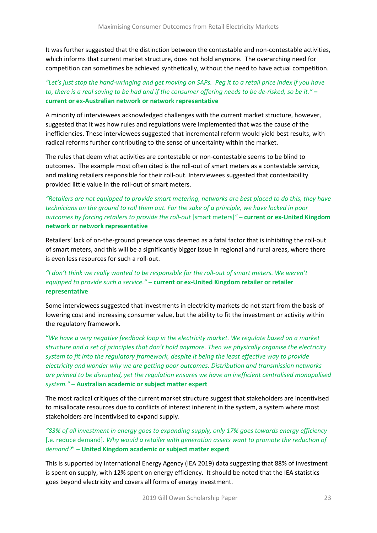It was further suggested that the distinction between the contestable and non-contestable activities, which informs that current market structure, does not hold anymore. The overarching need for competition can sometimes be achieved synthetically, without the need to have actual competition.

#### *"Let's just stop the hand-wringing and get moving on SAPs. Peg it to a retail price index if you have to, there is a real saving to be had and if the consumer offering needs to be de-risked, so be it."* **– current or ex-Australian network or network representative**

A minority of interviewees acknowledged challenges with the current market structure, however, suggested that it was how rules and regulations were implemented that was the cause of the inefficiencies. These interviewees suggested that incremental reform would yield best results, with radical reforms further contributing to the sense of uncertainty within the market.

The rules that deem what activities are contestable or non-contestable seems to be blind to outcomes. The example most often cited is the roll-out of smart meters as a contestable service, and making retailers responsible for their roll-out. Interviewees suggested that contestability provided little value in the roll-out of smart meters.

#### *"Retailers are not equipped to provide smart metering, networks are best placed to do this, they have technicians on the ground to roll them out. For the sake of a principle, we have locked in poor outcomes by forcing retailers to provide the roll-out* [smart meters]*"* **– current or ex-United Kingdom network or network representative**

Retailers' lack of on-the-ground presence was deemed as a fatal factor that is inhibiting the roll-out of smart meters, and this will be a significantly bigger issue in regional and rural areas, where there is even less resources for such a roll-out.

# *"I don't think we really wanted to be responsible for the roll-out of smart meters. We weren't equipped to provide such a service."* **– current or ex-United Kingdom retailer or retailer representative**

Some interviewees suggested that investments in electricity markets do not start from the basis of lowering cost and increasing consumer value, but the ability to fit the investment or activity within the regulatory framework.

**"***We have a very negative feedback loop in the electricity market. We regulate based on a market structure and a set of principles that don't hold anymore. Then we physically organise the electricity system to fit into the regulatory framework, despite it being the least effective way to provide electricity and wonder why we are getting poor outcomes. Distribution and transmission networks are primed to be disrupted, yet the regulation ensures we have an inefficient centralised monopolised system."* **– Australian academic or subject matter expert**

The most radical critiques of the current market structure suggest that stakeholders are incentivised to misallocate resources due to conflicts of interest inherent in the system, a system where most stakeholders are incentivised to expand supply.

*"83% of all investment in energy goes to expanding supply, only 17% goes towards energy efficiency* [.e. reduce demand]. *Why would a retailer with generation assets want to promote the reduction of demand?*" **– United Kingdom academic or subject matter expert**

This is supported by International Energy Agency (IEA 2019) data suggesting that 88% of investment is spent on supply, with 12% spent on energy efficiency. It should be noted that the IEA statistics goes beyond electricity and covers all forms of energy investment.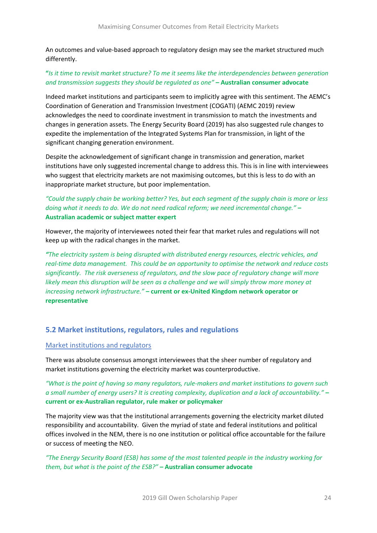An outcomes and value-based approach to regulatory design may see the market structured much differently.

#### **"***Is it time to revisit market structure? To me it seems like the interdependencies between generation and transmission suggests they should be regulated as one"* **– Australian consumer advocate**

Indeed market institutions and participants seem to implicitly agree with this sentiment. The AEMC's Coordination of Generation and Transmission Investment (COGATI) (AEMC 2019) review acknowledges the need to coordinate investment in transmission to match the investments and changes in generation assets. The Energy Security Board (2019) has also suggested rule changes to expedite the implementation of the Integrated Systems Plan for transmission, in light of the significant changing generation environment.

Despite the acknowledgement of significant change in transmission and generation, market institutions have only suggested incremental change to address this. This is in line with interviewees who suggest that electricity markets are not maximising outcomes, but this is less to do with an inappropriate market structure, but poor implementation.

# *"Could the supply chain be working better? Yes, but each segment of the supply chain is more or less doing what it needs to do. We do not need radical reform; we need incremental change."* **– Australian academic or subject matter expert**

However, the majority of interviewees noted their fear that market rules and regulations will not keep up with the radical changes in the market.

*"The electricity system is being disrupted with distributed energy resources, electric vehicles, and real-time data management. This could be an opportunity to optimise the network and reduce costs significantly. The risk averseness of regulators, and the slow pace of regulatory change will more likely mean this disruption will be seen as a challenge and we will simply throw more money at increasing network infrastructure."* **– current or ex-United Kingdom network operator or representative**

# <span id="page-23-0"></span>**5.2 Market institutions, regulators, rules and regulations**

#### Market institutions and regulators

There was absolute consensus amongst interviewees that the sheer number of regulatory and market institutions governing the electricity market was counterproductive.

*"What is the point of having so many regulators, rule-makers and market institutions to govern such a small number of energy users? It is creating complexity, duplication and a lack of accountability."* **– current or ex-Australian regulator, rule maker or policymaker**

The majority view was that the institutional arrangements governing the electricity market diluted responsibility and accountability. Given the myriad of state and federal institutions and political offices involved in the NEM, there is no one institution or political office accountable for the failure or success of meeting the NEO.

*"The Energy Security Board (ESB) has some of the most talented people in the industry working for them, but what is the point of the ESB?"* **– Australian consumer advocate**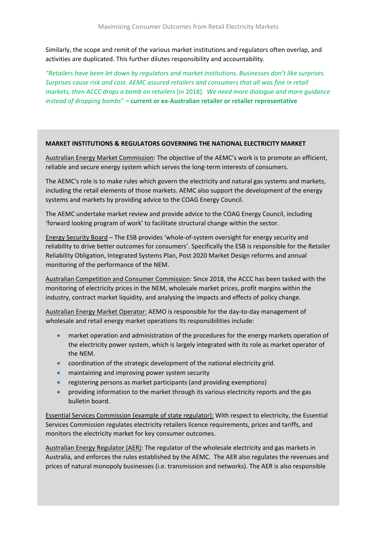Similarly, the scope and remit of the various market institutions and regulators often overlap, and activities are duplicated. This further dilutes responsibility and accountability.

*"Retailers have been let down by regulators and market institutions. Businesses don't like surprises. Surprises cause risk and cost. AEMC assured retailers and consumers that all was fine in retail markets, then ACCC drops a bomb on retailers* [in 2018]*. We need more dialogue and more guidance instead of dropping bombs*" **– current or ex-Australian retailer or retailer representative**

#### **MARKET INSTITUTIONS & REGULATORS GOVERNING THE NATIONAL ELECTRICITY MARKET**

Australian Energy Market Commission: The objective of the AEMC's work is to promote an efficient, reliable and secure energy system which serves the long-term interests of consumers.

The AEMC's role is to make rules which govern the electricity and natural gas systems and markets, including the retail elements of those markets. AEMC also support the development of the energy systems and markets by providing advice to the COAG Energy Council.

The AEMC undertake market review and provide advice to the COAG Energy Council, including 'forward looking program of work' to facilitate structural change within the sector.

Energy Security Board – The ESB provides 'whole-of-system oversight for energy security and reliability to drive better outcomes for consumers'. Specifically the ESB is responsible for the Retailer Reliability Obligation, Integrated Systems Plan, Post 2020 Market Design reforms and annual monitoring of the performance of the NEM.

Australian Competition and Consumer Commission: Since 2018, the ACCC has been tasked with the monitoring of electricity prices in the NEM, wholesale market prices, profit margins within the industry, contract market liquidity, and analysing the impacts and effects of policy change.

Australian Energy Market Operator: AEMO is responsible for the day-to-day management of wholesale and retail energy market operations Its responsibilities include:

- market operation and administration of the procedures for the energy markets operation of the electricity power system, which is largely integrated with its role as market operator of the NEM.
- coordination of the strategic development of the national electricity grid.
- maintaining and improving power system security
- registering persons as market participants (and providing exemptions)
- providing information to the market through its various electricity reports and the gas bulletin board.

Essential Services Commission (example of state regulator): With respect to electricity, the Essential Services Commission regulates electricity retailers licence requirements, prices and tariffs, and monitors the electricity market for key consumer outcomes.

Australian Energy Regulator (AER): The regulator of the wholesale electricity and gas markets in Australia, and enforces the rules established by the AEMC. The AER also regulates the revenues and prices of natural monopoly businesses (i.e. transmission and networks). The AER is also responsible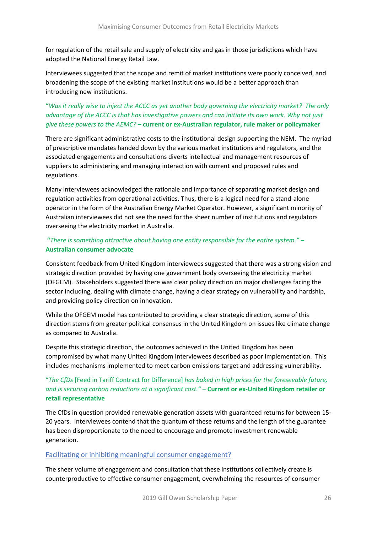for regulation of the retail sale and supply of electricity and gas in those jurisdictions which have adopted the National Energy Retail Law.

Interviewees suggested that the scope and remit of market institutions were poorly conceived, and broadening the scope of the existing market institutions would be a better approach than introducing new institutions.

# **"***Was it really wise to inject the ACCC as yet another body governing the electricity market? The only advantage of the ACCC is that has investigative powers and can initiate its own work. Why not just give these powers to the AEMC?* **– current or ex-Australian regulator, rule maker or policymaker**

There are significant administrative costs to the institutional design supporting the NEM. The myriad of prescriptive mandates handed down by the various market institutions and regulators, and the associated engagements and consultations diverts intellectual and management resources of suppliers to administering and managing interaction with current and proposed rules and regulations.

Many interviewees acknowledged the rationale and importance of separating market design and regulation activities from operational activities. Thus, there is a logical need for a stand-alone operator in the form of the Australian Energy Market Operator. However, a significant minority of Australian interviewees did not see the need for the sheer number of institutions and regulators overseeing the electricity market in Australia.

# **"***There is something attractive about having one entity responsible for the entire system."* **– Australian consumer advocate**

Consistent feedback from United Kingdom interviewees suggested that there was a strong vision and strategic direction provided by having one government body overseeing the electricity market (OFGEM). Stakeholders suggested there was clear policy direction on major challenges facing the sector including, dealing with climate change, having a clear strategy on vulnerability and hardship, and providing policy direction on innovation.

While the OFGEM model has contributed to providing a clear strategic direction, some of this direction stems from greater political consensus in the United Kingdom on issues like climate change as compared to Australia.

Despite this strategic direction, the outcomes achieved in the United Kingdom has been compromised by what many United Kingdom interviewees described as poor implementation. This includes mechanisms implemented to meet carbon emissions target and addressing vulnerability.

#### "*The CfDs* [Feed in Tariff Contract for Difference] *has baked in high prices for the foreseeable future, and is securing carbon reductions at a significant cost."* – **Current or ex-United Kingdom retailer or retail representative**

The CfDs in question provided renewable generation assets with guaranteed returns for between 15- 20 years. Interviewees contend that the quantum of these returns and the length of the guarantee has been disproportionate to the need to encourage and promote investment renewable generation.

#### Facilitating or inhibiting meaningful consumer engagement?

The sheer volume of engagement and consultation that these institutions collectively create is counterproductive to effective consumer engagement, overwhelming the resources of consumer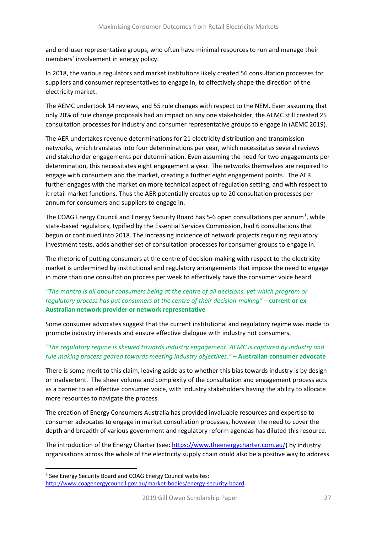and end-user representative groups, who often have minimal resources to run and manage their members' involvement in energy policy.

In 2018, the various regulators and market institutions likely created 56 consultation processes for suppliers and consumer representatives to engage in, to effectively shape the direction of the electricity market.

The AEMC undertook 14 reviews, and 55 rule changes with respect to the NEM. Even assuming that only 20% of rule change proposals had an impact on any one stakeholder, the AEMC still created 25 consultation processes for industry and consumer representative groups to engage in (AEMC 2019).

The AER undertakes revenue determinations for 21 electricity distribution and transmission networks, which translates into four determinations per year, which necessitates several reviews and stakeholder engagements per determination. Even assuming the need for two engagements per determination, this necessitates eight engagement a year. The networks themselves are required to engage with consumers and the market, creating a further eight engagement points. The AER further engages with the market on more technical aspect of regulation setting, and with respect to it retail market functions. Thus the AER potentially creates up to 20 consultation processes per annum for consumers and suppliers to engage in.

The COAG Energy Council and Energy Security Board has 5-6 open consultations per annum<sup>[1](#page-26-0)</sup>, while state-based regulators, typified by the Essential Services Commission, had 6 consultations that begun or continued into 2018. The increasing incidence of network projects requiring regulatory investment tests, adds another set of consultation processes for consumer groups to engage in.

The rhetoric of putting consumers at the centre of decision-making with respect to the electricity market is undermined by institutional and regulatory arrangements that impose the need to engage in more than one consultation process per week to effectively have the consumer voice heard.

#### *"The mantra is all about consumers being at the centre of all decisions, yet which program or regulatory process has put consumers at the centre of their decision-making" –* **current or ex-Australian network provider or network representative**

Some consumer advocates suggest that the current institutional and regulatory regime was made to promote industry interests and ensure effective dialogue with industry not consumers.

#### *"The regulatory regime is skewed towards industry engagement. AEMC is captured by industry and rule making process geared towards meeting industry objectives."* **– Australian consumer advocate**

There is some merit to this claim, leaving aside as to whether this bias towards industry is by design or inadvertent. The sheer volume and complexity of the consultation and engagement process acts as a barrier to an effective consumer voice, with industry stakeholders having the ability to allocate more resources to navigate the process.

The creation of Energy Consumers Australia has provided invaluable resources and expertise to consumer advocates to engage in market consultation processes, however the need to cover the depth and breadth of various government and regulatory reform agendas has diluted this resource.

The introduction of the Energy Charter (see[: https://www.theenergycharter.com.au/\)](https://www.theenergycharter.com.au/) by industry organisations across the whole of the electricity supply chain could also be a positive way to address

<span id="page-26-0"></span><sup>&</sup>lt;sup>1</sup> See Energy Security Board and COAG Energy Council websites: <http://www.coagenergycouncil.gov.au/market-bodies/energy-security-board>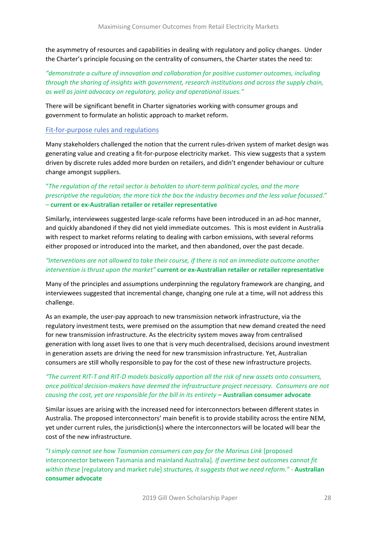the asymmetry of resources and capabilities in dealing with regulatory and policy changes. Under the Charter's principle focusing on the centrality of consumers, the Charter states the need to:

### *"demonstrate a culture of innovation and collaboration for positive customer outcomes, including through the sharing of insights with government, research institutions and across the supply chain, as well as joint advocacy on regulatory, policy and operational issues."*

There will be significant benefit in Charter signatories working with consumer groups and government to formulate an holistic approach to market reform.

#### Fit-for-purpose rules and regulations

Many stakeholders challenged the notion that the current rules-driven system of market design was generating value and creating a fit-for-purpose electricity market. This view suggests that a system driven by discrete rules added more burden on retailers, and didn't engender behaviour or culture change amongst suppliers.

#### "*The regulation of the retail sector is beholden to short-term political cycles, and the more prescriptive the regulation, the more tick the box the industry becomes and the less value focussed*." – **current or ex-Australian retailer or retailer representative**

Similarly, interviewees suggested large-scale reforms have been introduced in an ad-hoc manner, and quickly abandoned if they did not yield immediate outcomes. This is most evident in Australia with respect to market reforms relating to dealing with carbon emissions, with several reforms either proposed or introduced into the market, and then abandoned, over the past decade.

#### *"Interventions are not allowed to take their course, if there is not an immediate outcome another intervention is thrust upon the market"* **current or ex-Australian retailer or retailer representative**

Many of the principles and assumptions underpinning the regulatory framework are changing, and interviewees suggested that incremental change, changing one rule at a time, will not address this challenge.

As an example, the user-pay approach to new transmission network infrastructure, via the regulatory investment tests, were premised on the assumption that new demand created the need for new transmission infrastructure. As the electricity system moves away from centralised generation with long asset lives to one that is very much decentralised, decisions around investment in generation assets are driving the need for new transmission infrastructure. Yet, Australian consumers are still wholly responsible to pay for the cost of these new infrastructure projects.

#### *"The current RIT-T and RIT-D models basically apportion all the risk of new assets onto consumers, once political decision-makers have deemed the infrastructure project necessary. Consumers are not causing the cost, yet are responsible for the bill in its entirety* **– Australian consumer advocate**

Similar issues are arising with the increased need for interconnectors between different states in Australia. The proposed interconnectors' main benefit is to provide stability across the entire NEM, yet under current rules, the jurisdiction(s) where the interconnectors will be located will bear the cost of the new infrastructure.

"*I simply cannot see how Tasmanian consumers can pay for the Marinus Link* [proposed interconnector between Tasmania and mainland Australia]*. If overtime best outcomes cannot fit within these* [regulatory and market rule] *structures, it suggests that we need reform."* - **Australian consumer advocate**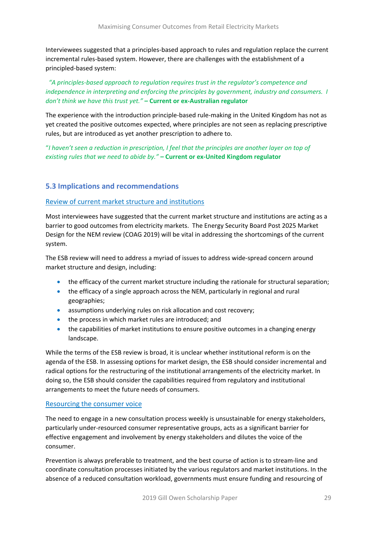Interviewees suggested that a principles-based approach to rules and regulation replace the current incremental rules-based system. However, there are challenges with the establishment of a principled-based system:

*"A principles-based approach to regulation requires trust in the regulator's competence and independence in interpreting and enforcing the principles by government, industry and consumers. I don't think we have this trust yet."* **– Current or ex-Australian regulator**

The experience with the introduction principle-based rule-making in the United Kingdom has not as yet created the positive outcomes expected, where principles are not seen as replacing prescriptive rules, but are introduced as yet another prescription to adhere to.

"*I haven't seen a reduction in prescription, I feel that the principles are another layer on top of existing rules that we need to abide by."* **– Current or ex-United Kingdom regulator**

#### <span id="page-28-0"></span>**5.3 Implications and recommendations**

#### Review of current market structure and institutions

Most interviewees have suggested that the current market structure and institutions are acting as a barrier to good outcomes from electricity markets. The Energy Security Board Post 2025 Market Design for the NEM review (COAG 2019) will be vital in addressing the shortcomings of the current system.

The ESB review will need to address a myriad of issues to address wide-spread concern around market structure and design, including:

- the efficacy of the current market structure including the rationale for structural separation;
- the efficacy of a single approach across the NEM, particularly in regional and rural geographies;
- assumptions underlying rules on risk allocation and cost recovery;
- the process in which market rules are introduced; and
- the capabilities of market institutions to ensure positive outcomes in a changing energy landscape.

While the terms of the ESB review is broad, it is unclear whether institutional reform is on the agenda of the ESB. In assessing options for market design, the ESB should consider incremental and radical options for the restructuring of the institutional arrangements of the electricity market. In doing so, the ESB should consider the capabilities required from regulatory and institutional arrangements to meet the future needs of consumers.

#### Resourcing the consumer voice

The need to engage in a new consultation process weekly is unsustainable for energy stakeholders, particularly under-resourced consumer representative groups, acts as a significant barrier for effective engagement and involvement by energy stakeholders and dilutes the voice of the consumer.

Prevention is always preferable to treatment, and the best course of action is to stream-line and coordinate consultation processes initiated by the various regulators and market institutions. In the absence of a reduced consultation workload, governments must ensure funding and resourcing of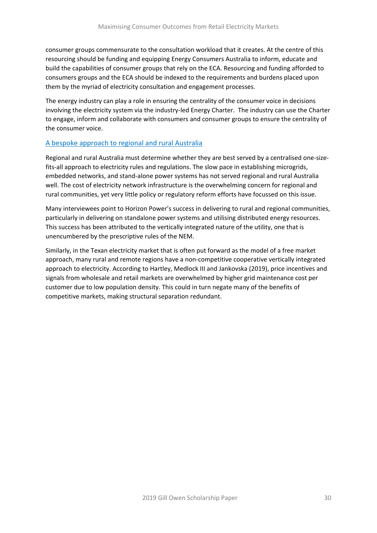consumer groups commensurate to the consultation workload that it creates. At the centre of this resourcing should be funding and equipping Energy Consumers Australia to inform, educate and build the capabilities of consumer groups that rely on the ECA. Resourcing and funding afforded to consumers groups and the ECA should be indexed to the requirements and burdens placed upon them by the myriad of electricity consultation and engagement processes.

The energy industry can play a role in ensuring the centrality of the consumer voice in decisions involving the electricity system via the industry-led Energy Charter. The industry can use the Charter to engage, inform and collaborate with consumers and consumer groups to ensure the centrality of the consumer voice.

#### A bespoke approach to regional and rural Australia

Regional and rural Australia must determine whether they are best served by a centralised one-sizefits-all approach to electricity rules and regulations. The slow pace in establishing microgrids, embedded networks, and stand-alone power systems has not served regional and rural Australia well. The cost of electricity network infrastructure is the overwhelming concern for regional and rural communities, yet very little policy or regulatory reform efforts have focussed on this issue.

Many interviewees point to Horizon Power's success in delivering to rural and regional communities, particularly in delivering on standalone power systems and utilising distributed energy resources. This success has been attributed to the vertically integrated nature of the utility, one that is unencumbered by the prescriptive rules of the NEM.

Similarly, in the Texan electricity market that is often put forward as the model of a free market approach, many rural and remote regions have a non-competitive cooperative vertically integrated approach to electricity. According to Hartley, Medlock III and Jankovska (2019), price incentives and signals from wholesale and retail markets are overwhelmed by higher grid maintenance cost per customer due to low population density. This could in turn negate many of the benefits of competitive markets, making structural separation redundant.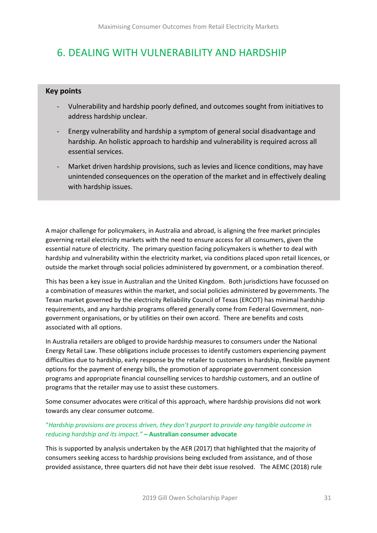# <span id="page-30-0"></span>6. DEALING WITH VULNERABILITY AND HARDSHIP

# **Key points**

- Vulnerability and hardship poorly defined, and outcomes sought from initiatives to address hardship unclear.
- Energy vulnerability and hardship a symptom of general social disadvantage and hardship. An holistic approach to hardship and vulnerability is required across all essential services.
- Market driven hardship provisions, such as levies and licence conditions, may have unintended consequences on the operation of the market and in effectively dealing with hardship issues.

A major challenge for policymakers, in Australia and abroad, is aligning the free market principles governing retail electricity markets with the need to ensure access for all consumers, given the essential nature of electricity. The primary question facing policymakers is whether to deal with hardship and vulnerability within the electricity market, via conditions placed upon retail licences, or outside the market through social policies administered by government, or a combination thereof.

This has been a key issue in Australian and the United Kingdom. Both jurisdictions have focussed on a combination of measures within the market, and social policies administered by governments. The Texan market governed by the electricity Reliability Council of Texas (ERCOT) has minimal hardship requirements, and any hardship programs offered generally come from Federal Government, nongovernment organisations, or by utilities on their own accord. There are benefits and costs associated with all options.

In Australia retailers are obliged to provide hardship measures to consumers under the National Energy Retail Law. These obligations include processes to identify customers experiencing payment difficulties due to hardship, early response by the retailer to customers in hardship, flexible payment options for the payment of energy bills, the promotion of appropriate government concession programs and appropriate financial counselling services to hardship customers, and an outline of programs that the retailer may use to assist these customers.

Some consumer advocates were critical of this approach, where hardship provisions did not work towards any clear consumer outcome.

#### "*Hardship provisions are process driven, they don't purport to provide any tangible outcome in reducing hardship and its impact."* **– Australian consumer advocate**

This is supported by analysis undertaken by the AER (2017) that highlighted that the majority of consumers seeking access to hardship provisions being excluded from assistance, and of those provided assistance, three quarters did not have their debt issue resolved. The AEMC (2018) rule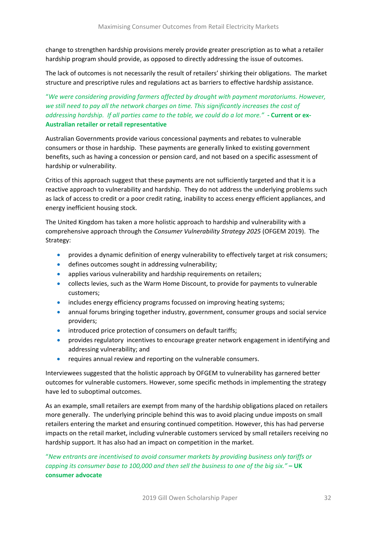change to strengthen hardship provisions merely provide greater prescription as to what a retailer hardship program should provide, as opposed to directly addressing the issue of outcomes.

The lack of outcomes is not necessarily the result of retailers' shirking their obligations. The market structure and prescriptive rules and regulations act as barriers to effective hardship assistance.

# "*We were considering providing farmers affected by drought with payment moratoriums. However, we still need to pay all the network charges on time. This significantly increases the cost of addressing hardship. If all parties came to the table, we could do a lot more."* **- Current or ex-Australian retailer or retail representative**

Australian Governments provide various concessional payments and rebates to vulnerable consumers or those in hardship. These payments are generally linked to existing government benefits, such as having a concession or pension card, and not based on a specific assessment of hardship or vulnerability.

Critics of this approach suggest that these payments are not sufficiently targeted and that it is a reactive approach to vulnerability and hardship. They do not address the underlying problems such as lack of access to credit or a poor credit rating, inability to access energy efficient appliances, and energy inefficient housing stock.

The United Kingdom has taken a more holistic approach to hardship and vulnerability with a comprehensive approach through the *Consumer Vulnerability Strategy 2025* (OFGEM 2019). The Strategy:

- provides a dynamic definition of energy vulnerability to effectively target at risk consumers;
- defines outcomes sought in addressing vulnerability;
- applies various vulnerability and hardship requirements on retailers;
- collects levies, such as the Warm Home Discount, to provide for payments to vulnerable customers;
- includes energy efficiency programs focussed on improving heating systems;
- annual forums bringing together industry, government, consumer groups and social service providers;
- introduced price protection of consumers on default tariffs:
- provides regulatory incentives to encourage greater network engagement in identifying and addressing vulnerability; and
- requires annual review and reporting on the vulnerable consumers.

Interviewees suggested that the holistic approach by OFGEM to vulnerability has garnered better outcomes for vulnerable customers. However, some specific methods in implementing the strategy have led to suboptimal outcomes.

As an example, small retailers are exempt from many of the hardship obligations placed on retailers more generally. The underlying principle behind this was to avoid placing undue imposts on small retailers entering the market and ensuring continued competition. However, this has had perverse impacts on the retail market, including vulnerable customers serviced by small retailers receiving no hardship support. It has also had an impact on competition in the market.

"*New entrants are incentivised to avoid consumer markets by providing business only tariffs or capping its consumer base to 100,000 and then sell the business to one of the big six."* **– UK consumer advocate**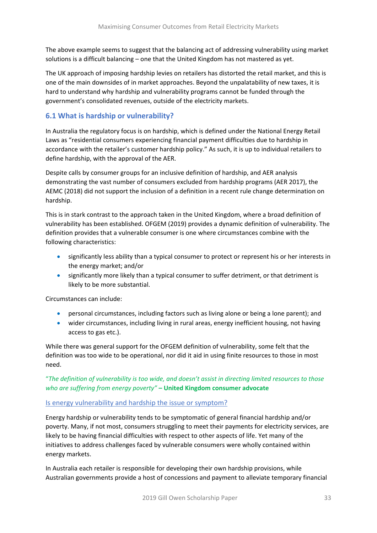The above example seems to suggest that the balancing act of addressing vulnerability using market solutions is a difficult balancing – one that the United Kingdom has not mastered as yet.

The UK approach of imposing hardship levies on retailers has distorted the retail market, and this is one of the main downsides of in market approaches. Beyond the unpalatability of new taxes, it is hard to understand why hardship and vulnerability programs cannot be funded through the government's consolidated revenues, outside of the electricity markets.

# <span id="page-32-0"></span>**6.1 What is hardship or vulnerability?**

In Australia the regulatory focus is on hardship, which is defined under the National Energy Retail Laws as "residential consumers experiencing financial payment difficulties due to hardship in accordance with the retailer's customer hardship policy." As such, it is up to individual retailers to define hardship, with the approval of the AER.

Despite calls by consumer groups for an inclusive definition of hardship, and AER analysis demonstrating the vast number of consumers excluded from hardship programs (AER 2017), the AEMC (2018) did not support the inclusion of a definition in a recent rule change determination on hardship.

This is in stark contrast to the approach taken in the United Kingdom, where a broad definition of vulnerability has been established. OFGEM (2019) provides a dynamic definition of vulnerability. The definition provides that a vulnerable consumer is one where circumstances combine with the following characteristics:

- significantly less ability than a typical consumer to protect or represent his or her interests in the energy market; and/or
- significantly more likely than a typical consumer to suffer detriment, or that detriment is likely to be more substantial.

Circumstances can include:

- personal circumstances, including factors such as living alone or being a lone parent); and
- wider circumstances, including living in rural areas, energy inefficient housing, not having access to gas etc.).

While there was general support for the OFGEM definition of vulnerability, some felt that the definition was too wide to be operational, nor did it aid in using finite resources to those in most need.

"*The definition of vulnerability is too wide, and doesn't assist in directing limited resources to those who are suffering from energy poverty"* **– United Kingdom consumer advocate**

# Is energy vulnerability and hardship the issue or symptom?

Energy hardship or vulnerability tends to be symptomatic of general financial hardship and/or poverty. Many, if not most, consumers struggling to meet their payments for electricity services, are likely to be having financial difficulties with respect to other aspects of life. Yet many of the initiatives to address challenges faced by vulnerable consumers were wholly contained within energy markets.

In Australia each retailer is responsible for developing their own hardship provisions, while Australian governments provide a host of concessions and payment to alleviate temporary financial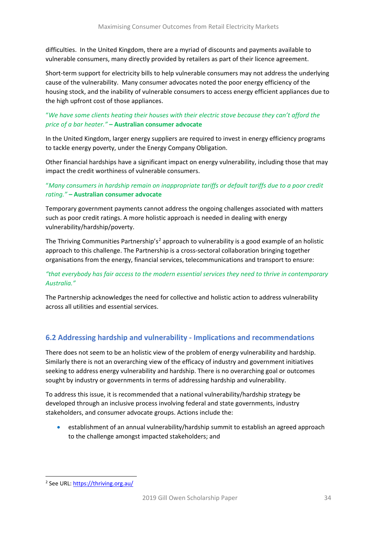difficulties. In the United Kingdom, there are a myriad of discounts and payments available to vulnerable consumers, many directly provided by retailers as part of their licence agreement.

Short-term support for electricity bills to help vulnerable consumers may not address the underlying cause of the vulnerability. Many consumer advocates noted the poor energy efficiency of the housing stock, and the inability of vulnerable consumers to access energy efficient appliances due to the high upfront cost of those appliances.

# "*We have some clients heating their houses with their electric stove because they can't afford the price of a bar heater."* **– Australian consumer advocate**

In the United Kingdom, larger energy suppliers are required to invest in energy efficiency programs to tackle energy poverty, under the Energy Company Obligation.

Other financial hardships have a significant impact on energy vulnerability, including those that may impact the credit worthiness of vulnerable consumers.

# "*Many consumers in hardship remain on inappropriate tariffs or default tariffs due to a poor credit rating."* **– Australian consumer advocate**

Temporary government payments cannot address the ongoing challenges associated with matters such as poor credit ratings. A more holistic approach is needed in dealing with energy vulnerability/hardship/poverty.

The Thriving Communities Partnership's<sup>[2](#page-33-1)</sup> approach to vulnerability is a good example of an holistic approach to this challenge. The Partnership is a cross-sectoral collaboration bringing together organisations from the energy, financial services, telecommunications and transport to ensure:

#### *"that everybody has fair access to the modern essential services they need to thrive in contemporary Australia."*

The Partnership acknowledges the need for collective and holistic action to address vulnerability across all utilities and essential services.

# <span id="page-33-0"></span>**6.2 Addressing hardship and vulnerability - Implications and recommendations**

There does not seem to be an holistic view of the problem of energy vulnerability and hardship. Similarly there is not an overarching view of the efficacy of industry and government initiatives seeking to address energy vulnerability and hardship. There is no overarching goal or outcomes sought by industry or governments in terms of addressing hardship and vulnerability.

To address this issue, it is recommended that a national vulnerability/hardship strategy be developed through an inclusive process involving federal and state governments, industry stakeholders, and consumer advocate groups. Actions include the:

• establishment of an annual vulnerability/hardship summit to establish an agreed approach to the challenge amongst impacted stakeholders; and

<span id="page-33-1"></span><sup>2</sup> See URL[: https://thriving.org.au/](https://thriving.org.au/)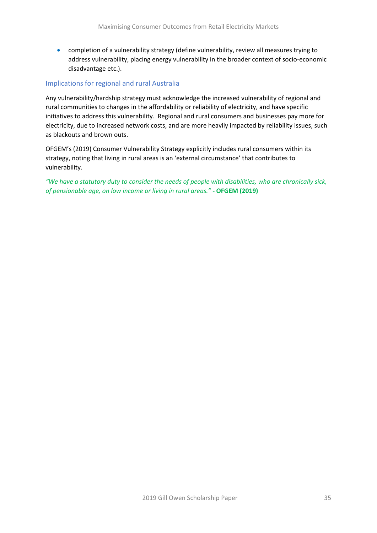• completion of a vulnerability strategy (define vulnerability, review all measures trying to address vulnerability, placing energy vulnerability in the broader context of socio-economic disadvantage etc.).

#### Implications for regional and rural Australia

Any vulnerability/hardship strategy must acknowledge the increased vulnerability of regional and rural communities to changes in the affordability or reliability of electricity, and have specific initiatives to address this vulnerability. Regional and rural consumers and businesses pay more for electricity, due to increased network costs, and are more heavily impacted by reliability issues, such as blackouts and brown outs.

OFGEM's (2019) Consumer Vulnerability Strategy explicitly includes rural consumers within its strategy, noting that living in rural areas is an 'external circumstance' that contributes to vulnerability.

*"We have a statutory duty to consider the needs of people with disabilities, who are chronically sick, of pensionable age, on low income or living in rural areas."* **- OFGEM (2019)**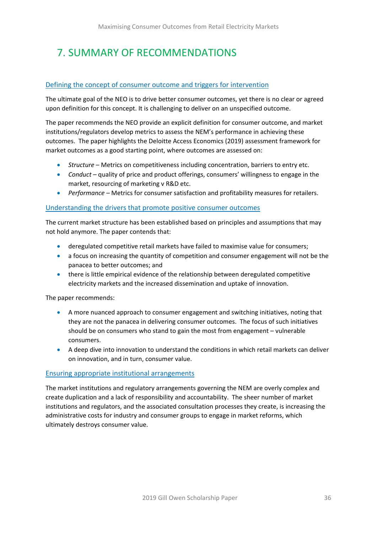# <span id="page-35-0"></span>7. SUMMARY OF RECOMMENDATIONS

#### Defining the concept of consumer outcome and triggers for intervention

The ultimate goal of the NEO is to drive better consumer outcomes, yet there is no clear or agreed upon definition for this concept. It is challenging to deliver on an unspecified outcome.

The paper recommends the NEO provide an explicit definition for consumer outcome, and market institutions/regulators develop metrics to assess the NEM's performance in achieving these outcomes. The paper highlights the Deloitte Access Economics (2019) assessment framework for market outcomes as a good starting point, where outcomes are assessed on:

- *Structure* Metrics on competitiveness including concentration, barriers to entry etc.
- *Conduct* quality of price and product offerings, consumers' willingness to engage in the market, resourcing of marketing v R&D etc.
- *Performance –* Metrics for consumer satisfaction and profitability measures for retailers.

#### Understanding the drivers that promote positive consumer outcomes

The current market structure has been established based on principles and assumptions that may not hold anymore. The paper contends that:

- deregulated competitive retail markets have failed to maximise value for consumers;
- a focus on increasing the quantity of competition and consumer engagement will not be the panacea to better outcomes; and
- there is little empirical evidence of the relationship between deregulated competitive electricity markets and the increased dissemination and uptake of innovation.

The paper recommends:

- A more nuanced approach to consumer engagement and switching initiatives, noting that they are not the panacea in delivering consumer outcomes. The focus of such initiatives should be on consumers who stand to gain the most from engagement – vulnerable consumers.
- A deep dive into innovation to understand the conditions in which retail markets can deliver on innovation, and in turn, consumer value.

#### Ensuring appropriate institutional arrangements

The market institutions and regulatory arrangements governing the NEM are overly complex and create duplication and a lack of responsibility and accountability. The sheer number of market institutions and regulators, and the associated consultation processes they create, is increasing the administrative costs for industry and consumer groups to engage in market reforms, which ultimately destroys consumer value.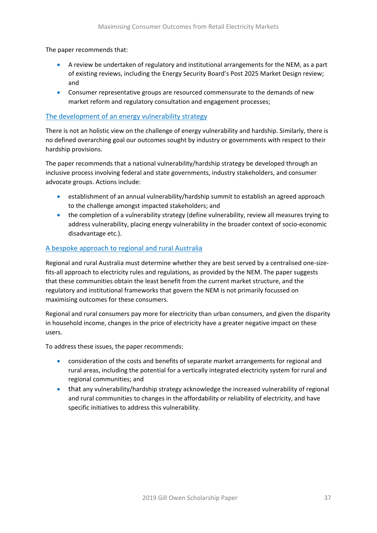The paper recommends that:

- A review be undertaken of regulatory and institutional arrangements for the NEM, as a part of existing reviews, including the Energy Security Board's Post 2025 Market Design review; and
- Consumer representative groups are resourced commensurate to the demands of new market reform and regulatory consultation and engagement processes;

#### The development of an energy vulnerability strategy

There is not an holistic view on the challenge of energy vulnerability and hardship. Similarly, there is no defined overarching goal our outcomes sought by industry or governments with respect to their hardship provisions.

The paper recommends that a national vulnerability/hardship strategy be developed through an inclusive process involving federal and state governments, industry stakeholders, and consumer advocate groups. Actions include:

- establishment of an annual vulnerability/hardship summit to establish an agreed approach to the challenge amongst impacted stakeholders; and
- the completion of a vulnerability strategy (define vulnerability, review all measures trying to address vulnerability, placing energy vulnerability in the broader context of socio-economic disadvantage etc.).

#### A bespoke approach to regional and rural Australia

Regional and rural Australia must determine whether they are best served by a centralised one-sizefits-all approach to electricity rules and regulations, as provided by the NEM. The paper suggests that these communities obtain the least benefit from the current market structure, and the regulatory and institutional frameworks that govern the NEM is not primarily focussed on maximising outcomes for these consumers.

Regional and rural consumers pay more for electricity than urban consumers, and given the disparity in household income, changes in the price of electricity have a greater negative impact on these users.

To address these issues, the paper recommends:

- consideration of the costs and benefits of separate market arrangements for regional and rural areas, including the potential for a vertically integrated electricity system for rural and regional communities; and
- that any vulnerability/hardship strategy acknowledge the increased vulnerability of regional and rural communities to changes in the affordability or reliability of electricity, and have specific initiatives to address this vulnerability.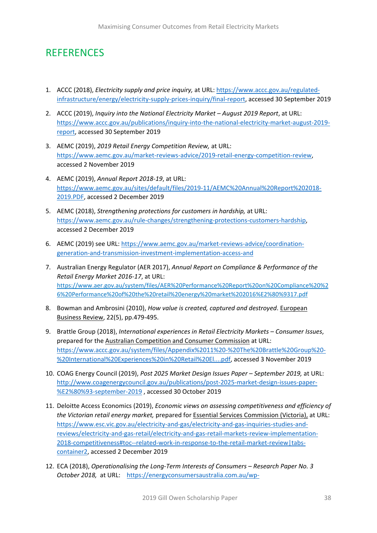# <span id="page-37-0"></span>**REFERENCES**

- 1. ACCC (2018), *Electricity supply and price inquiry,* at URL: [https://www.accc.gov.au/regulated](https://www.accc.gov.au/regulated-infrastructure/energy/electricity-supply-prices-inquiry/final-report)[infrastructure/energy/electricity-supply-prices-inquiry/final-report,](https://www.accc.gov.au/regulated-infrastructure/energy/electricity-supply-prices-inquiry/final-report) accessed 30 September 2019
- 2. ACCC (2019), *Inquiry into the National Electricity Market – August 2019 Report*, at URL: [https://www.accc.gov.au/publications/inquiry-into-the-national-electricity-market-august-2019](https://www.accc.gov.au/publications/inquiry-into-the-national-electricity-market-august-2019-report) [report,](https://www.accc.gov.au/publications/inquiry-into-the-national-electricity-market-august-2019-report) accessed 30 September 2019
- 3. AEMC (2019), *2019 Retail Energy Competition Review,* at URL: [https://www.aemc.gov.au/market-reviews-advice/2019-retail-energy-competition-review,](https://www.aemc.gov.au/market-reviews-advice/2019-retail-energy-competition-review) accessed 2 November 2019
- 4. AEMC (2019), *Annual Report 2018-19*, at URL: [https://www.aemc.gov.au/sites/default/files/2019-11/AEMC%20Annual%20Report%202018-](https://www.aemc.gov.au/sites/default/files/2019-11/AEMC%20Annual%20Report%202018-2019.PDF) [2019.PDF,](https://www.aemc.gov.au/sites/default/files/2019-11/AEMC%20Annual%20Report%202018-2019.PDF) accessed 2 December 2019
- 5. AEMC (2018), *Strengthening protections for customers in hardship,* at URL: [https://www.aemc.gov.au/rule-changes/strengthening-protections-customers-hardship,](https://www.aemc.gov.au/rule-changes/strengthening-protections-customers-hardship) accessed 2 December 2019
- 6. AEMC (2019) see URL[: https://www.aemc.gov.au/market-reviews-advice/coordination](https://www.aemc.gov.au/market-reviews-advice/coordination-generation-and-transmission-investment-implementation-access-and)[generation-and-transmission-investment-implementation-access-and](https://www.aemc.gov.au/market-reviews-advice/coordination-generation-and-transmission-investment-implementation-access-and)
- 7. Australian Energy Regulator (AER 2017), *Annual Report on Compliance & Performance of the Retail Energy Market 2016-17*, at URL: [https://www.aer.gov.au/system/files/AER%20Performance%20Report%20on%20Compliance%20%2](https://www.aer.gov.au/system/files/AER%20Performance%20Report%20on%20Compliance%20%26%20Performance%20of%20the%20retail%20energy%20market%202016%E2%80%9317.pdf) [6%20Performance%20of%20the%20retail%20energy%20market%202016%E2%80%9317.pdf](https://www.aer.gov.au/system/files/AER%20Performance%20Report%20on%20Compliance%20%26%20Performance%20of%20the%20retail%20energy%20market%202016%E2%80%9317.pdf)
- 8. Bowman and Ambrosini (2010), *How value is created, captured and destroyed*. European Business Review, 22(5), pp.479-495.
- 9. Brattle Group (2018), *International experiences in Retail Electricity Markets – Consumer Issues*, prepared for the Australian Competition and Consumer Commission at URL: [https://www.accc.gov.au/system/files/Appendix%2011%20-%20The%20Brattle%20Group%20-](https://www.accc.gov.au/system/files/Appendix%2011%20-%20The%20Brattle%20Group%20-%20International%20Experiences%20in%20Retail%20El....pdf) [%20International%20Experiences%20in%20Retail%20El....pdf,](https://www.accc.gov.au/system/files/Appendix%2011%20-%20The%20Brattle%20Group%20-%20International%20Experiences%20in%20Retail%20El....pdf) accessed 3 November 2019
- 10. COAG Energy Council (2019), *Post 2025 Market Design Issues Paper – September 2019,* at URL: [http://www.coagenergycouncil.gov.au/publications/post-2025-market-design-issues-paper-](http://www.coagenergycouncil.gov.au/publications/post-2025-market-design-issues-paper-%E2%80%93-september-2019) [%E2%80%93-september-2019](http://www.coagenergycouncil.gov.au/publications/post-2025-market-design-issues-paper-%E2%80%93-september-2019) , accessed 30 October 2019
- 11. Deloitte Access Economics (2019), *Economic views on assessing competitiveness and efficiency of the Victorian retail energy market,* prepared for Essential Services Commission (Victoria), at URL: [https://www.esc.vic.gov.au/electricity-and-gas/electricity-and-gas-inquiries-studies-and](https://www.esc.vic.gov.au/electricity-and-gas/electricity-and-gas-inquiries-studies-and-reviews/electricity-and-gas-retail/electricity-and-gas-retail-markets-review-implementation-2018-competitiveness#toc--related-work-in-response-to-the-retail-market-review|tabs-container2)[reviews/electricity-and-gas-retail/electricity-and-gas-retail-markets-review-implementation-](https://www.esc.vic.gov.au/electricity-and-gas/electricity-and-gas-inquiries-studies-and-reviews/electricity-and-gas-retail/electricity-and-gas-retail-markets-review-implementation-2018-competitiveness#toc--related-work-in-response-to-the-retail-market-review|tabs-container2)[2018-competitiveness#toc--related-work-in-response-to-the-retail-market-review|tabs](https://www.esc.vic.gov.au/electricity-and-gas/electricity-and-gas-inquiries-studies-and-reviews/electricity-and-gas-retail/electricity-and-gas-retail-markets-review-implementation-2018-competitiveness#toc--related-work-in-response-to-the-retail-market-review|tabs-container2)[container2,](https://www.esc.vic.gov.au/electricity-and-gas/electricity-and-gas-inquiries-studies-and-reviews/electricity-and-gas-retail/electricity-and-gas-retail-markets-review-implementation-2018-competitiveness#toc--related-work-in-response-to-the-retail-market-review|tabs-container2) accessed 2 December 2019
- 12. ECA (2018), *Operationalising the Long-Term Interests of Consumers – Research Paper No. 3 October 2018,* at URL: [https://energyconsumersaustralia.com.au/wp-](https://energyconsumersaustralia.com.au/wp-content/uploads/Operationalising-the-Long-Term-Interests-of-Consumers.pdf)